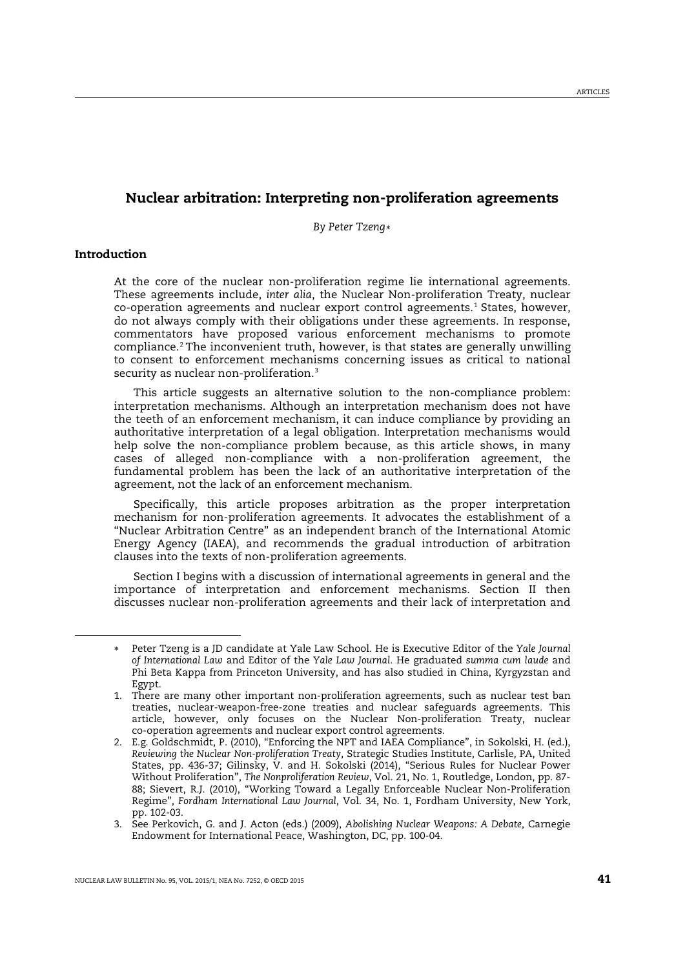# Nuclear arbitration: Interpreting non-proliferation agreements

<span id="page-0-5"></span>*By Peter Tzeng*[∗](#page-0-0)

# Introduction

<span id="page-0-1"></span><span id="page-0-0"></span>-

At the core of the nuclear non-proliferation regime lie international agreements. These agreements include, *inter alia*, the Nuclear Non-proliferation Treaty, nuclear  $co-operation$  agreements and nuclear export control agreements.<sup>[1](#page-0-1)</sup> States, however, do not always comply with their obligations under these agreements. In response, commentators have proposed various enforcement mechanisms to promote compliance.[2](#page-0-2) The inconvenient truth, however, is that states are generally unwilling to consent to enforcement mechanisms concerning issues as critical to national security as nuclear non-proliferation.<sup>[3](#page-0-3)</sup>

<span id="page-0-4"></span>This article suggests an alternative solution to the non-compliance problem: interpretation mechanisms. Although an interpretation mechanism does not have the teeth of an enforcement mechanism, it can induce compliance by providing an authoritative interpretation of a legal obligation. Interpretation mechanisms would help solve the non-compliance problem because, as this article shows, in many cases of alleged non-compliance with a non-proliferation agreement, the fundamental problem has been the lack of an authoritative interpretation of the agreement, not the lack of an enforcement mechanism.

Specifically, this article proposes arbitration as the proper interpretation mechanism for non-proliferation agreements. It advocates the establishment of a "Nuclear Arbitration Centre" as an independent branch of the International Atomic Energy Agency (IAEA), and recommends the gradual introduction of arbitration clauses into the texts of non-proliferation agreements.

Section I begins with a discussion of international agreements in general and the importance of interpretation and enforcement mechanisms. Section II then discusses nuclear non-proliferation agreements and their lack of interpretation and

<sup>∗</sup> Peter Tzeng is a JD candidate at Yale Law School. He is Executive Editor of the *Yale Journal of International Law* and Editor of the *Yale Law Journal*. He graduated *summa cum laude* and Phi Beta Kappa from Princeton University, and has also studied in China, Kyrgyzstan and Egypt.

<sup>1.</sup> There are many other important non-proliferation agreements, such as nuclear test ban treaties, nuclear-weapon-free-zone treaties and nuclear safeguards agreements. This article, however, only focuses on the Nuclear Non-proliferation Treaty, nuclear co-operation agreements and nuclear export control agreements.

<span id="page-0-2"></span><sup>2.</sup> E.g. Goldschmidt, P. (2010), "Enforcing the NPT and IAEA Compliance", in Sokolski, H. (ed.), *Reviewing the Nuclear Non-proliferation Treaty*, Strategic Studies Institute, Carlisle, PA, United States, pp. 436-37; Gilinsky, V. and H. Sokolski (2014), "Serious Rules for Nuclear Power Without Proliferation", *The Nonproliferation Review*, Vol. 21, No. 1, Routledge, London, pp. 87- 88; Sievert, R.J. (2010), "Working Toward a Legally Enforceable Nuclear Non-Proliferation Regime", *Fordham International Law Journal*, Vol. 34, No. 1, Fordham University, New York, pp. 102-03.

<span id="page-0-3"></span><sup>3.</sup> See Perkovich, G. and J. Acton (eds.) (2009), *Abolishing Nuclear Weapons: A Debate,* Carnegie Endowment for International Peace, Washington, DC, pp. 100-04.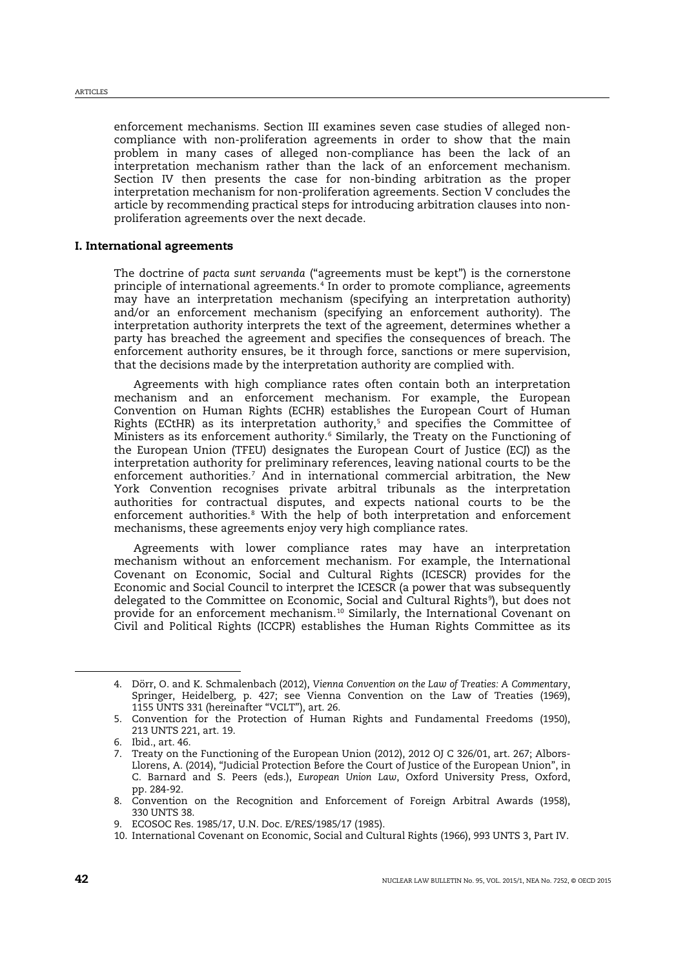enforcement mechanisms. Section III examines seven case studies of alleged noncompliance with non-proliferation agreements in order to show that the main problem in many cases of alleged non-compliance has been the lack of an interpretation mechanism rather than the lack of an enforcement mechanism. Section IV then presents the case for non-binding arbitration as the proper interpretation mechanism for non-proliferation agreements. Section V concludes the article by recommending practical steps for introducing arbitration clauses into nonproliferation agreements over the next decade.

# I. International agreements

<span id="page-1-7"></span>The doctrine of *pacta sunt servanda* ("agreements must be kept") is the cornerstone principle of international agreements.[4](#page-1-0) In order to promote compliance, agreements may have an interpretation mechanism (specifying an interpretation authority) and/or an enforcement mechanism (specifying an enforcement authority). The interpretation authority interprets the text of the agreement, determines whether a party has breached the agreement and specifies the consequences of breach. The enforcement authority ensures, be it through force, sanctions or mere supervision, that the decisions made by the interpretation authority are complied with.

Agreements with high compliance rates often contain both an interpretation mechanism and an enforcement mechanism. For example, the European Convention on Human Rights (ECHR) establishes the European Court of Human Rights (ECtHR) as its interpretation authority,<sup>[5](#page-1-1)</sup> and specifies the Committee of Ministers as its enforcement authority.<sup>[6](#page-1-2)</sup> Similarly, the Treaty on the Functioning of the European Union (TFEU) designates the European Court of Justice (ECJ) as the interpretation authority for preliminary references, leaving national courts to be the enforcement authorities.<sup>[7](#page-1-3)</sup> And in international commercial arbitration, the New York Convention recognises private arbitral tribunals as the interpretation authorities for contractual disputes, and expects national courts to be the enforcement authorities.<sup>[8](#page-1-4)</sup> With the help of both interpretation and enforcement mechanisms, these agreements enjoy very high compliance rates.

Agreements with lower compliance rates may have an interpretation mechanism without an enforcement mechanism. For example, the International Covenant on Economic, Social and Cultural Rights (ICESCR) provides for the Economic and Social Council to interpret the ICESCR (a power that was subsequently delegated to the Committee on Economic, Social and Cultural Rights[9](#page-1-5) ), but does not provide for an enforcement mechanism.[10](#page-1-6) Similarly, the International Covenant on Civil and Political Rights (ICCPR) establishes the Human Rights Committee as its

<span id="page-1-0"></span><sup>4.</sup> Dörr, O. and K. Schmalenbach (2012), *Vienna Convention on the Law of Treaties: A Commentary*, Springer, Heidelberg, p. 427; see Vienna Convention on the Law of Treaties (1969), 1155 UNTS 331 (hereinafter "VCLT"), art. 26.

<span id="page-1-1"></span><sup>5.</sup> Convention for the Protection of Human Rights and Fundamental Freedoms (1950), 213 UNTS 221, art. 19.

<span id="page-1-2"></span><sup>6.</sup> Ibid., art. 46.

<span id="page-1-3"></span><sup>7.</sup> Treaty on the Functioning of the European Union (2012), 2012 OJ C 326/01, art. 267; Albors-Llorens, A. (2014), "Judicial Protection Before the Court of Justice of the European Union", in C. Barnard and S. Peers (eds.), *European Union Law*, Oxford University Press, Oxford, pp. 284-92.

<span id="page-1-4"></span><sup>8.</sup> Convention on the Recognition and Enforcement of Foreign Arbitral Awards (1958), 330 UNTS 38.

<span id="page-1-6"></span><span id="page-1-5"></span><sup>9.</sup> ECOSOC Res. 1985/17, U.N. Doc. E/RES/1985/17 (1985).

<sup>10.</sup> International Covenant on Economic, Social and Cultural Rights (1966), 993 UNTS 3, Part IV.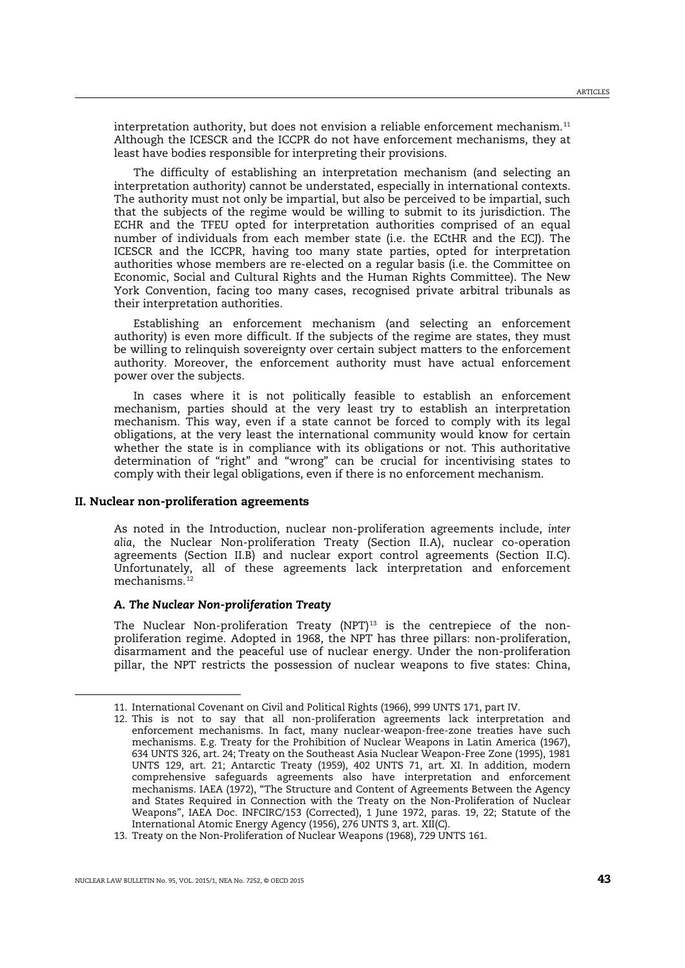interpretation authority, but does not envision a reliable enforcement mechanism.[11](#page-2-0) Although the ICESCR and the ICCPR do not have enforcement mechanisms, they at least have bodies responsible for interpreting their provisions.

The difficulty of establishing an interpretation mechanism (and selecting an interpretation authority) cannot be understated, especially in international contexts. The authority must not only be impartial, but also be perceived to be impartial, such that the subjects of the regime would be willing to submit to its jurisdiction. The ECHR and the TFEU opted for interpretation authorities comprised of an equal number of individuals from each member state (i.e. the ECtHR and the ECJ). The ICESCR and the ICCPR, having too many state parties, opted for interpretation authorities whose members are re-elected on a regular basis (i.e. the Committee on Economic, Social and Cultural Rights and the Human Rights Committee). The New York Convention, facing too many cases, recognised private arbitral tribunals as their interpretation authorities.

Establishing an enforcement mechanism (and selecting an enforcement authority) is even more difficult. If the subjects of the regime are states, they must be willing to relinquish sovereignty over certain subject matters to the enforcement authority. Moreover, the enforcement authority must have actual enforcement power over the subjects.

In cases where it is not politically feasible to establish an enforcement mechanism, parties should at the very least try to establish an interpretation mechanism. This way, even if a state cannot be forced to comply with its legal obligations, at the very least the international community would know for certain whether the state is in compliance with its obligations or not. This authoritative determination of "right" and "wrong" can be crucial for incentivising states to comply with their legal obligations, even if there is no enforcement mechanism.

#### II. Nuclear non-proliferation agreements

As noted in the Introduction, nuclear non-proliferation agreements include, *inter alia*, the Nuclear Non-proliferation Treaty (Section II.A), nuclear co-operation agreements (Section II.B) and nuclear export control agreements (Section II.C). Unfortunately, all of these agreements lack interpretation and enforcement mechanisms.<sup>[12](#page-2-1)</sup>

## <span id="page-2-4"></span>*A. The Nuclear Non-proliferation Treaty*

<span id="page-2-3"></span>The Nuclear Non-proliferation Treaty (NPT) $^{13}$  $^{13}$  $^{13}$  is the centrepiece of the nonproliferation regime. Adopted in 1968, the NPT has three pillars: non-proliferation, disarmament and the peaceful use of nuclear energy. Under the non-proliferation pillar, the NPT restricts the possession of nuclear weapons to five states: China,

<span id="page-2-0"></span><sup>11.</sup> International Covenant on Civil and Political Rights (1966), 999 UNTS 171, part IV.

<span id="page-2-1"></span><sup>12.</sup> This is not to say that all non-proliferation agreements lack interpretation and enforcement mechanisms. In fact, many nuclear-weapon-free-zone treaties have such mechanisms. E.g. Treaty for the Prohibition of Nuclear Weapons in Latin America (1967), 634 UNTS 326, art. 24; Treaty on the Southeast Asia Nuclear Weapon-Free Zone (1995), 1981 UNTS 129, art. 21; Antarctic Treaty (1959), 402 UNTS 71, art. XI. In addition, modern comprehensive safeguards agreements also have interpretation and enforcement mechanisms. IAEA (1972), "The Structure and Content of Agreements Between the Agency and States Required in Connection with the Treaty on the Non-Proliferation of Nuclear Weapons", IAEA Doc. INFCIRC/153 (Corrected), 1 June 1972, paras. 19, 22; Statute of the International Atomic Energy Agency (1956), 276 UNTS 3, art. XII(C).

<span id="page-2-2"></span><sup>13.</sup> Treaty on the Non-Proliferation of Nuclear Weapons (1968), 729 UNTS 161.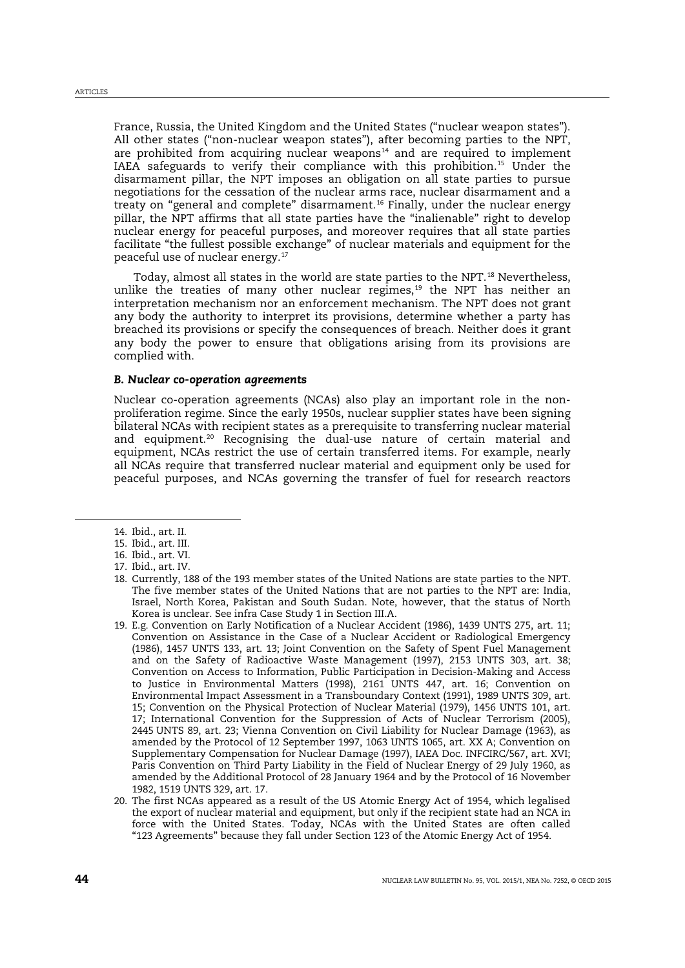France, Russia, the United Kingdom and the United States ("nuclear weapon states"). All other states ("non-nuclear weapon states"), after becoming parties to the NPT, are prohibited from acquiring nuclear weapons $14$  and are required to implement IAEA safeguards to verify their compliance with this prohibition.[15](#page-3-1) Under the disarmament pillar, the NPT imposes an obligation on all state parties to pursue negotiations for the cessation of the nuclear arms race, nuclear disarmament and a treaty on "general and complete" disarmament.[16](#page-3-2) Finally, under the nuclear energy pillar, the NPT affirms that all state parties have the "inalienable" right to develop nuclear energy for peaceful purposes, and moreover requires that all state parties facilitate "the fullest possible exchange" of nuclear materials and equipment for the peaceful use of nuclear energy.[17](#page-3-3)

Today, almost all states in the world are state parties to the NPT.<sup>[18](#page-3-4)</sup> Nevertheless, unlike the treaties of many other nuclear regimes,<sup>[19](#page-3-5)</sup> the NPT has neither an interpretation mechanism nor an enforcement mechanism. The NPT does not grant any body the authority to interpret its provisions, determine whether a party has breached its provisions or specify the consequences of breach. Neither does it grant any body the power to ensure that obligations arising from its provisions are complied with.

#### *B. Nuclear co-operation agreements*

Nuclear co-operation agreements (NCAs) also play an important role in the nonproliferation regime. Since the early 1950s, nuclear supplier states have been signing bilateral NCAs with recipient states as a prerequisite to transferring nuclear material and equipment.<sup>[20](#page-3-6)</sup> Recognising the dual-use nature of certain material and equipment, NCAs restrict the use of certain transferred items. For example, nearly all NCAs require that transferred nuclear material and equipment only be used for peaceful purposes, and NCAs governing the transfer of fuel for research reactors

<span id="page-3-0"></span><sup>14.</sup> Ibid., art. II.

<span id="page-3-1"></span><sup>15.</sup> Ibid., art. III.

<span id="page-3-2"></span><sup>16.</sup> Ibid., art. VI.

<span id="page-3-3"></span><sup>17.</sup> Ibid., art. IV.

<span id="page-3-4"></span><sup>18.</sup> Currently, 188 of the 193 member states of the United Nations are state parties to the NPT. The five member states of the United Nations that are not parties to the NPT are: India, Israel, North Korea, Pakistan and South Sudan. Note, however, that the status of North Korea is unclear. See infra Case Study 1 in Section III.A.

<span id="page-3-5"></span><sup>19.</sup> E.g. Convention on Early Notification of a Nuclear Accident (1986), 1439 UNTS 275, art. 11; Convention on Assistance in the Case of a Nuclear Accident or Radiological Emergency (1986), 1457 UNTS 133, art. 13; Joint Convention on the Safety of Spent Fuel Management and on the Safety of Radioactive Waste Management (1997), 2153 UNTS 303, art. 38; Convention on Access to Information, Public Participation in Decision-Making and Access to Justice in Environmental Matters (1998), 2161 UNTS 447, art. 16; Convention on Environmental Impact Assessment in a Transboundary Context (1991), 1989 UNTS 309, art. 15; Convention on the Physical Protection of Nuclear Material (1979), 1456 UNTS 101, art. 17; International Convention for the Suppression of Acts of Nuclear Terrorism (2005), 2445 UNTS 89, art. 23; Vienna Convention on Civil Liability for Nuclear Damage (1963), as amended by the Protocol of 12 September 1997, 1063 UNTS 1065, art. XX A; Convention on Supplementary Compensation for Nuclear Damage (1997), IAEA Doc. INFCIRC/567, art. XVI; Paris Convention on Third Party Liability in the Field of Nuclear Energy of 29 July 1960, as amended by the Additional Protocol of 28 January 1964 and by the Protocol of 16 November 1982, 1519 UNTS 329, art. 17.

<span id="page-3-6"></span><sup>20.</sup> The first NCAs appeared as a result of the US Atomic Energy Act of 1954, which legalised the export of nuclear material and equipment, but only if the recipient state had an NCA in force with the United States. Today, NCAs with the United States are often called "123 Agreements" because they fall under Section 123 of the Atomic Energy Act of 1954.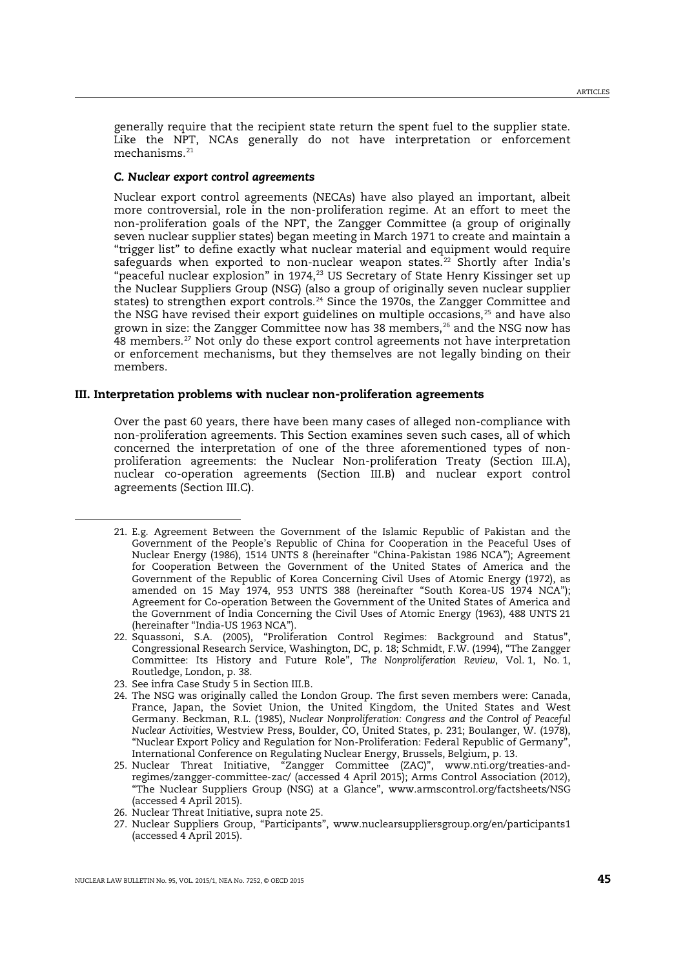generally require that the recipient state return the spent fuel to the supplier state. Like the NPT, NCAs generally do not have interpretation or enforcement mechanisms.<sup>[21](#page-4-1)</sup>

#### <span id="page-4-8"></span>*C. Nuclear export control agreements*

Nuclear export control agreements (NECAs) have also played an important, albeit more controversial, role in the non-proliferation regime. At an effort to meet the non-proliferation goals of the NPT, the Zangger Committee (a group of originally seven nuclear supplier states) began meeting in March 1971 to create and maintain a "trigger list" to define exactly what nuclear material and equipment would require safeguards when exported to non-nuclear weapon states.<sup>[22](#page-4-2)</sup> Shortly after India's "peaceful nuclear explosion" in 1974,<sup>[23](#page-4-3)</sup> US Secretary of State Henry Kissinger set up the Nuclear Suppliers Group (NSG) (also a group of originally seven nuclear supplier states) to strengthen export controls.<sup>[24](#page-4-4)</sup> Since the 1970s, the Zangger Committee and the NSG have revised their export guidelines on multiple occasions, $25$  and have also grown in size: the Zangger Committee now has 38 members, $^{26}$  $^{26}$  $^{26}$  and the NSG now has 48 members.<sup>[27](#page-4-7)</sup> Not only do these export control agreements not have interpretation or enforcement mechanisms, but they themselves are not legally binding on their members.

# III. Interpretation problems with nuclear non-proliferation agreements

<span id="page-4-0"></span>Over the past 60 years, there have been many cases of alleged non-compliance with non-proliferation agreements. This Section examines seven such cases, all of which concerned the interpretation of one of the three aforementioned types of nonproliferation agreements: the Nuclear Non-proliferation Treaty (Section III.A), nuclear co-operation agreements (Section III.B) and nuclear export control agreements (Section III.C).

<span id="page-4-3"></span>23. See infra Case Study 5 in Section III.B.

- <span id="page-4-4"></span>24. The NSG was originally called the London Group. The first seven members were: Canada, France, Japan, the Soviet Union, the United Kingdom, the United States and West Germany. Beckman, R.L. (1985), *Nuclear Nonproliferation: Congress and the Control of Peaceful Nuclear Activities*, Westview Press, Boulder, CO, United States, p. 231; Boulanger, W. (1978), "Nuclear Export Policy and Regulation for Non-Proliferation: Federal Republic of Germany", International Conference on Regulating Nuclear Energy, Brussels, Belgium, p. 13.
- <span id="page-4-5"></span>25. Nuclear Threat Initiative, "Zangger Committee (ZAC)", www.nti.org/treaties-andregimes/zangger-committee-zac/ (accessed 4 April 2015); Arms Control Association (2012), "The Nuclear Suppliers Group (NSG) at a Glance", www.armscontrol.org/factsheets/NSG (accessed 4 April 2015).
- 26. Nuclear Threat Initiative, supra note [25.](#page-4-0)
- <span id="page-4-7"></span><span id="page-4-6"></span>27. Nuclear Suppliers Group, "Participants", www.nuclearsuppliersgroup.org/en/participants1 (accessed 4 April 2015).

<span id="page-4-1"></span><sup>21.</sup> E.g. Agreement Between the Government of the Islamic Republic of Pakistan and the Government of the People's Republic of China for Cooperation in the Peaceful Uses of Nuclear Energy (1986), 1514 UNTS 8 (hereinafter "China-Pakistan 1986 NCA"); Agreement for Cooperation Between the Government of the United States of America and the Government of the Republic of Korea Concerning Civil Uses of Atomic Energy (1972), as amended on 15 May 1974, 953 UNTS 388 (hereinafter "South Korea-US 1974 NCA"); Agreement for Co-operation Between the Government of the United States of America and the Government of India Concerning the Civil Uses of Atomic Energy (1963), 488 UNTS 21 (hereinafter "India-US 1963 NCA").

<span id="page-4-2"></span><sup>22.</sup> Squassoni, S.A. (2005), "Proliferation Control Regimes: Background and Status", Congressional Research Service, Washington, DC, p. 18; Schmidt, F.W. (1994), "The Zangger Committee: Its History and Future Role", *The Nonproliferation Review*, Vol. 1, No. 1, Routledge, London, p. 38.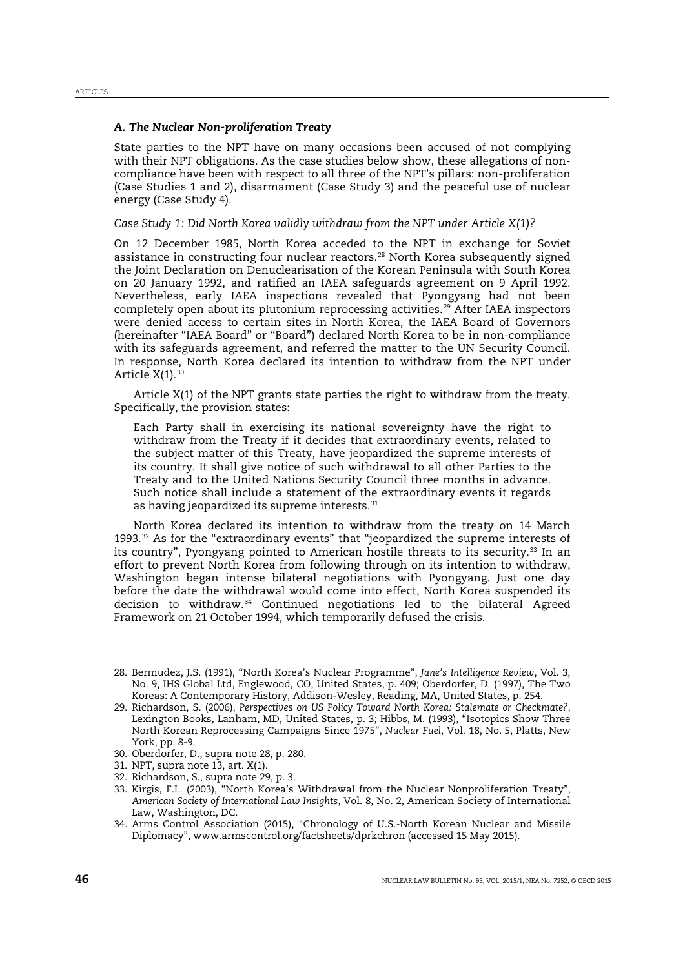# *A. The Nuclear Non-proliferation Treaty*

State parties to the NPT have on many occasions been accused of not complying with their NPT obligations. As the case studies below show, these allegations of noncompliance have been with respect to all three of the NPT's pillars: non-proliferation (Case Studies 1 and 2), disarmament (Case Study 3) and the peaceful use of nuclear energy (Case Study 4).

*Case Study 1: Did North Korea validly withdraw from the NPT under Article X(1)?*

<span id="page-5-0"></span>On 12 December 1985, North Korea acceded to the NPT in exchange for Soviet assistance in constructing four nuclear reactors.[28](#page-5-2) North Korea subsequently signed the Joint Declaration on Denuclearisation of the Korean Peninsula with South Korea on 20 January 1992, and ratified an IAEA safeguards agreement on 9 April 1992. Nevertheless, early IAEA inspections revealed that Pyongyang had not been completely open about its plutonium reprocessing activities.<sup>[29](#page-5-3)</sup> After IAEA inspectors were denied access to certain sites in North Korea, the IAEA Board of Governors (hereinafter "IAEA Board" or "Board") declared North Korea to be in non-compliance with its safeguards agreement, and referred the matter to the UN Security Council. In response, North Korea declared its intention to withdraw from the NPT under Article  $X(1)$ . [30](#page-5-4)

Article X(1) of the NPT grants state parties the right to withdraw from the treaty. Specifically, the provision states:

<span id="page-5-10"></span><span id="page-5-1"></span>Each Party shall in exercising its national sovereignty have the right to withdraw from the Treaty if it decides that extraordinary events, related to the subject matter of this Treaty, have jeopardized the supreme interests of its country. It shall give notice of such withdrawal to all other Parties to the Treaty and to the United Nations Security Council three months in advance. Such notice shall include a statement of the extraordinary events it regards as having jeopardized its supreme interests.<sup>[31](#page-5-5)</sup>

North Korea declared its intention to withdraw from the treaty on 14 March 1993. $32$  As for the "extraordinary events" that "jeopardized the supreme interests of its country", Pyongyang pointed to American hostile threats to its security.<sup>[33](#page-5-7)</sup> In an effort to prevent North Korea from following through on its intention to withdraw, Washington began intense bilateral negotiations with Pyongyang. Just one day before the date the withdrawal would come into effect, North Korea suspended its decision to withdraw.[34](#page-5-8) Continued negotiations led to the bilateral Agreed Framework on 21 October 1994, which temporarily defused the crisis.

<span id="page-5-9"></span><span id="page-5-2"></span><sup>28.</sup> Bermudez, J.S. (1991), "North Korea's Nuclear Programme", *Jane's Intelligence Review*, Vol. 3, No. 9, IHS Global Ltd, Englewood, CO, United States, p. 409; Oberdorfer, D. (1997), The Two Koreas: A Contemporary History, Addison-Wesley, Reading, MA, United States, p. 254.

<span id="page-5-3"></span><sup>29.</sup> Richardson, S. (2006), *Perspectives on US Policy Toward North Korea: Stalemate or Checkmate?*, Lexington Books, Lanham, MD, United States, p. 3; Hibbs, M. (1993), "Isotopics Show Three North Korean Reprocessing Campaigns Since 1975", *Nuclear Fuel*, Vol. 18, No. 5, Platts, New York, pp. 8-9.

<span id="page-5-4"></span><sup>30.</sup> Oberdorfer, D., supra not[e 28,](#page-5-0) p. 280.

<span id="page-5-5"></span><sup>31.</sup> NPT, supra note [13,](#page-2-3) art. X(1).

<span id="page-5-6"></span><sup>32.</sup> Richardson, S., supra not[e 29,](#page-5-1) p. 3.

<span id="page-5-7"></span><sup>33.</sup> Kirgis, F.L. (2003), "North Korea's Withdrawal from the Nuclear Nonproliferation Treaty", *American Society of International Law Insights*, Vol. 8, No. 2, American Society of International Law, Washington, DC.

<span id="page-5-8"></span><sup>34.</sup> Arms Control Association (2015), "Chronology of U.S.-North Korean Nuclear and Missile Diplomacy", www.armscontrol.org/factsheets/dprkchron (accessed 15 May 2015).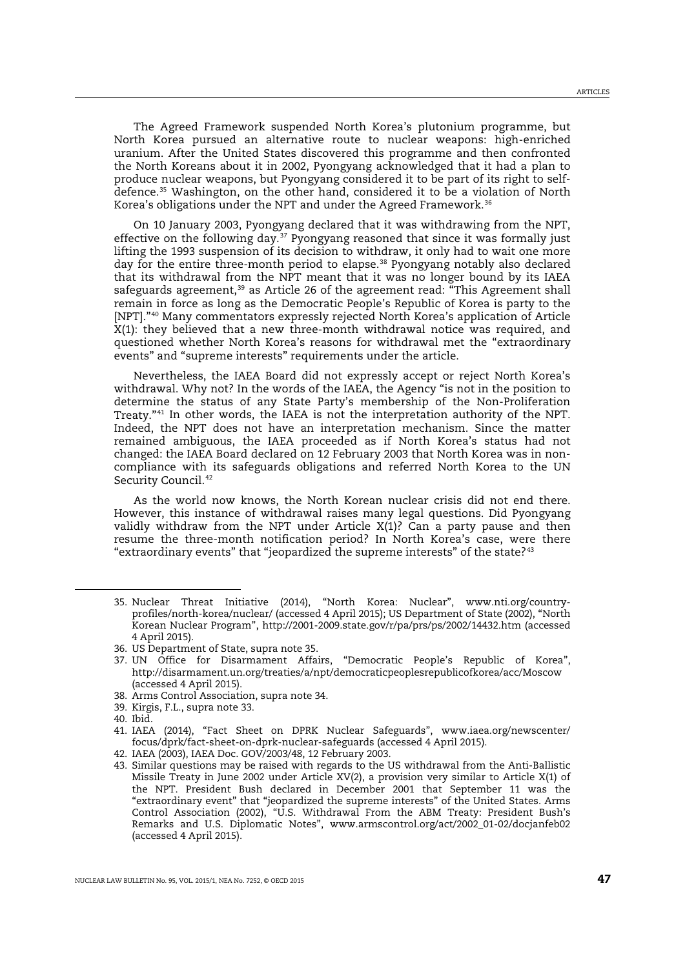The Agreed Framework suspended North Korea's plutonium programme, but North Korea pursued an alternative route to nuclear weapons: high-enriched uranium. After the United States discovered this programme and then confronted the North Koreans about it in 2002, Pyongyang acknowledged that it had a plan to produce nuclear weapons, but Pyongyang considered it to be part of its right to selfdefence. [35](#page-6-1) Washington, on the other hand, considered it to be a violation of North Korea's obligations under the NPT and under the Agreed Framework.<sup>[36](#page-6-2)</sup>

<span id="page-6-0"></span>On 10 January 2003, Pyongyang declared that it was withdrawing from the NPT, effective on the following day.[37](#page-6-3) Pyongyang reasoned that since it was formally just lifting the 1993 suspension of its decision to withdraw, it only had to wait one more day for the entire three-month period to elapse.<sup>[38](#page-6-4)</sup> Pyongyang notably also declared that its withdrawal from the NPT meant that it was no longer bound by its IAEA safeguards agreement, $39$  as Article 26 of the agreement read: "This Agreement shall remain in force as long as the Democratic People's Republic of Korea is party to the [NPT]."[40](#page-6-6) Many commentators expressly rejected North Korea's application of Article X(1): they believed that a new three-month withdrawal notice was required, and questioned whether North Korea's reasons for withdrawal met the "extraordinary events" and "supreme interests" requirements under the article.

Nevertheless, the IAEA Board did not expressly accept or reject North Korea's withdrawal. Why not? In the words of the IAEA, the Agency "is not in the position to determine the status of any State Party's membership of the Non-Proliferation Treaty."[41](#page-6-7) In other words, the IAEA is not the interpretation authority of the NPT. Indeed, the NPT does not have an interpretation mechanism. Since the matter remained ambiguous, the IAEA proceeded as if North Korea's status had not changed: the IAEA Board declared on 12 February 2003 that North Korea was in noncompliance with its safeguards obligations and referred North Korea to the UN Security Council.<sup>[42](#page-6-8)</sup>

As the world now knows, the North Korean nuclear crisis did not end there. However, this instance of withdrawal raises many legal questions. Did Pyongyang validly withdraw from the NPT under Article X(1)? Can a party pause and then resume the three-month notification period? In North Korea's case, were there "extraordinary events" that "jeopardized the supreme interests" of the state? $43$ 

- <span id="page-6-4"></span>38. Arms Control Association, supra not[e 34.](#page-5-9)
- <span id="page-6-5"></span>39. Kirgis, F.L., supra not[e 33.](#page-5-10)
- <span id="page-6-6"></span>40. Ibid.

<span id="page-6-1"></span><sup>35.</sup> Nuclear Threat Initiative (2014), "North Korea: Nuclear", www.nti.org/countryprofiles/north-korea/nuclear/ (accessed 4 April 2015); US Department of State (2002), "North Korean Nuclear Program", http://2001-2009.state.gov/r/pa/prs/ps/2002/14432.htm (accessed 4 April 2015).

<span id="page-6-2"></span><sup>36.</sup> US Department of State, supra note [35.](#page-6-0)

<span id="page-6-3"></span><sup>37.</sup> UN Office for Disarmament Affairs, "Democratic People's Republic of Korea", http://disarmament.un.org/treaties/a/npt/democraticpeoplesrepublicofkorea/acc/Moscow (accessed 4 April 2015).

<span id="page-6-7"></span><sup>41.</sup> IAEA (2014), "Fact Sheet on DPRK Nuclear Safeguards", www.iaea.org/newscenter/ focus/dprk/fact-sheet-on-dprk-nuclear-safeguards (accessed 4 April 2015).

<span id="page-6-8"></span><sup>42.</sup> IAEA (2003), IAEA Doc. GOV/2003/48, 12 February 2003.

<span id="page-6-9"></span><sup>43.</sup> Similar questions may be raised with regards to the US withdrawal from the Anti-Ballistic Missile Treaty in June 2002 under Article XV(2), a provision very similar to Article X(1) of the NPT. President Bush declared in December 2001 that September 11 was the "extraordinary event" that "jeopardized the supreme interests" of the United States. Arms Control Association (2002), "U.S. Withdrawal From the ABM Treaty: President Bush's Remarks and U.S. Diplomatic Notes", www.armscontrol.org/act/2002\_01-02/docjanfeb02 (accessed 4 April 2015).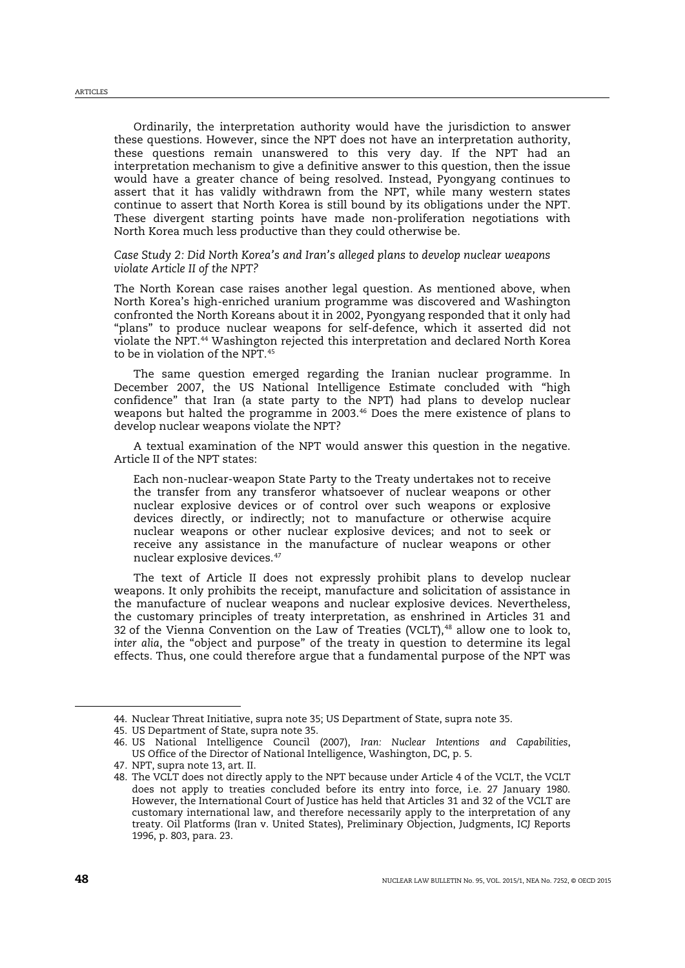Ordinarily, the interpretation authority would have the jurisdiction to answer these questions. However, since the NPT does not have an interpretation authority, these questions remain unanswered to this very day. If the NPT had an interpretation mechanism to give a definitive answer to this question, then the issue would have a greater chance of being resolved. Instead, Pyongyang continues to assert that it has validly withdrawn from the NPT, while many western states continue to assert that North Korea is still bound by its obligations under the NPT. These divergent starting points have made non-proliferation negotiations with North Korea much less productive than they could otherwise be.

# *Case Study 2: Did North Korea's and Iran's alleged plans to develop nuclear weapons violate Article II of the NPT?*

The North Korean case raises another legal question. As mentioned above, when North Korea's high-enriched uranium programme was discovered and Washington confronted the North Koreans about it in 2002, Pyongyang responded that it only had "plans" to produce nuclear weapons for self-defence, which it asserted did not violate the NPT.[44](#page-7-0) Washington rejected this interpretation and declared North Korea to be in violation of the NPT<sup>[45](#page-7-1)</sup>

The same question emerged regarding the Iranian nuclear programme. In December 2007, the US National Intelligence Estimate concluded with "high confidence" that Iran (a state party to the NPT) had plans to develop nuclear weapons but halted the programme in 2003.<sup>[46](#page-7-2)</sup> Does the mere existence of plans to develop nuclear weapons violate the NPT?

A textual examination of the NPT would answer this question in the negative. Article II of the NPT states:

Each non-nuclear-weapon State Party to the Treaty undertakes not to receive the transfer from any transferor whatsoever of nuclear weapons or other nuclear explosive devices or of control over such weapons or explosive devices directly, or indirectly; not to manufacture or otherwise acquire nuclear weapons or other nuclear explosive devices; and not to seek or receive any assistance in the manufacture of nuclear weapons or other nuclear explosive devices.<sup>[47](#page-7-3)</sup>

The text of Article II does not expressly prohibit plans to develop nuclear weapons. It only prohibits the receipt, manufacture and solicitation of assistance in the manufacture of nuclear weapons and nuclear explosive devices. Nevertheless, the customary principles of treaty interpretation, as enshrined in Articles 31 and 32 of the Vienna Convention on the Law of Treaties (VCLT),<sup>[48](#page-7-4)</sup> allow one to look to, *inter alia*, the "object and purpose" of the treaty in question to determine its legal effects. Thus, one could therefore argue that a fundamental purpose of the NPT was

<span id="page-7-0"></span><sup>44.</sup> Nuclear Threat Initiative, supra note [35;](#page-6-0) US Department of State, supra note [35.](#page-6-0)

<span id="page-7-1"></span><sup>45.</sup> US Department of State, supra note [35.](#page-6-0)

<span id="page-7-2"></span><sup>46.</sup> US National Intelligence Council (2007), *Iran: Nuclear Intentions and Capabilities*, US Office of the Director of National Intelligence, Washington, DC, p. 5.

<span id="page-7-3"></span><sup>47.</sup> NPT, supra note [13,](#page-2-3) art. II.

<span id="page-7-4"></span><sup>48.</sup> The VCLT does not directly apply to the NPT because under Article 4 of the VCLT, the VCLT does not apply to treaties concluded before its entry into force, i.e. 27 January 1980. However, the International Court of Justice has held that Articles 31 and 32 of the VCLT are customary international law, and therefore necessarily apply to the interpretation of any treaty. Oil Platforms (Iran v. United States), Preliminary Objection, Judgments, ICJ Reports 1996, p. 803, para. 23.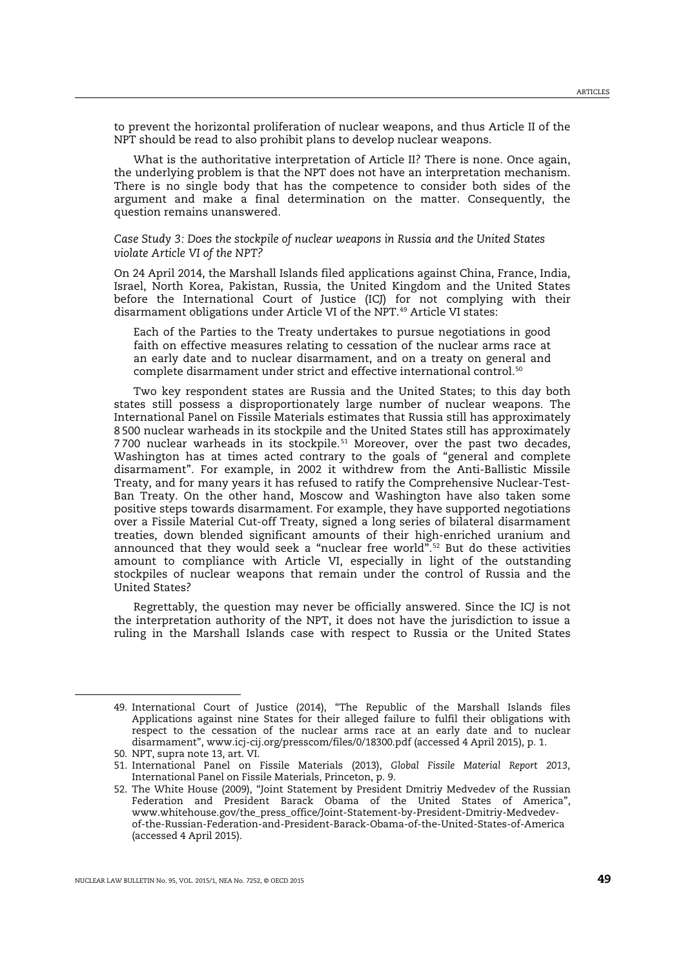to prevent the horizontal proliferation of nuclear weapons, and thus Article II of the NPT should be read to also prohibit plans to develop nuclear weapons.

What is the authoritative interpretation of Article II? There is none. Once again, the underlying problem is that the NPT does not have an interpretation mechanism. There is no single body that has the competence to consider both sides of the argument and make a final determination on the matter. Consequently, the question remains unanswered.

*Case Study 3: Does the stockpile of nuclear weapons in Russia and the United States violate Article VI of the NPT?*

On 24 April 2014, the Marshall Islands filed applications against China, France, India, Israel, North Korea, Pakistan, Russia, the United Kingdom and the United States before the International Court of Justice (ICJ) for not complying with their disarmament obligations under Article VI of the NPT.<sup>[49](#page-8-0)</sup> Article VI states:

Each of the Parties to the Treaty undertakes to pursue negotiations in good faith on effective measures relating to cessation of the nuclear arms race at an early date and to nuclear disarmament, and on a treaty on general and complete disarmament under strict and effective international control.[50](#page-8-1)

Two key respondent states are Russia and the United States; to this day both states still possess a disproportionately large number of nuclear weapons. The International Panel on Fissile Materials estimates that Russia still has approximately 8 500 nuclear warheads in its stockpile and the United States still has approximately 7 700 nuclear warheads in its stockpile.[51](#page-8-2) Moreover, over the past two decades, Washington has at times acted contrary to the goals of "general and complete disarmament". For example, in 2002 it withdrew from the Anti-Ballistic Missile Treaty, and for many years it has refused to ratify the Comprehensive Nuclear-Test-Ban Treaty. On the other hand, Moscow and Washington have also taken some positive steps towards disarmament. For example, they have supported negotiations over a Fissile Material Cut-off Treaty, signed a long series of bilateral disarmament treaties, down blended significant amounts of their high-enriched uranium and announced that they would seek a "nuclear free world".[52](#page-8-3) But do these activities amount to compliance with Article VI, especially in light of the outstanding stockpiles of nuclear weapons that remain under the control of Russia and the United States?

Regrettably, the question may never be officially answered. Since the ICJ is not the interpretation authority of the NPT, it does not have the jurisdiction to issue a ruling in the Marshall Islands case with respect to Russia or the United States

<span id="page-8-0"></span><sup>49.</sup> International Court of Justice (2014), "The Republic of the Marshall Islands files Applications against nine States for their alleged failure to fulfil their obligations with respect to the cessation of the nuclear arms race at an early date and to nuclear disarmament", www.icj-cij.org/presscom/files/0/18300.pdf (accessed 4 April 2015), p. 1.

<span id="page-8-1"></span><sup>50.</sup> NPT, supra note [13,](#page-2-3) art. VI.

<span id="page-8-2"></span><sup>51.</sup> International Panel on Fissile Materials (2013), *Global Fissile Material Report 2013*, International Panel on Fissile Materials, Princeton, p. 9.

<span id="page-8-3"></span><sup>52.</sup> The White House (2009), "Joint Statement by President Dmitriy Medvedev of the Russian Federation and President Barack Obama of the United States of America", www.whitehouse.gov/the\_press\_office/Joint-Statement-by-President-Dmitriy-Medvedevof-the-Russian-Federation-and-President-Barack-Obama-of-the-United-States-of-America (accessed 4 April 2015).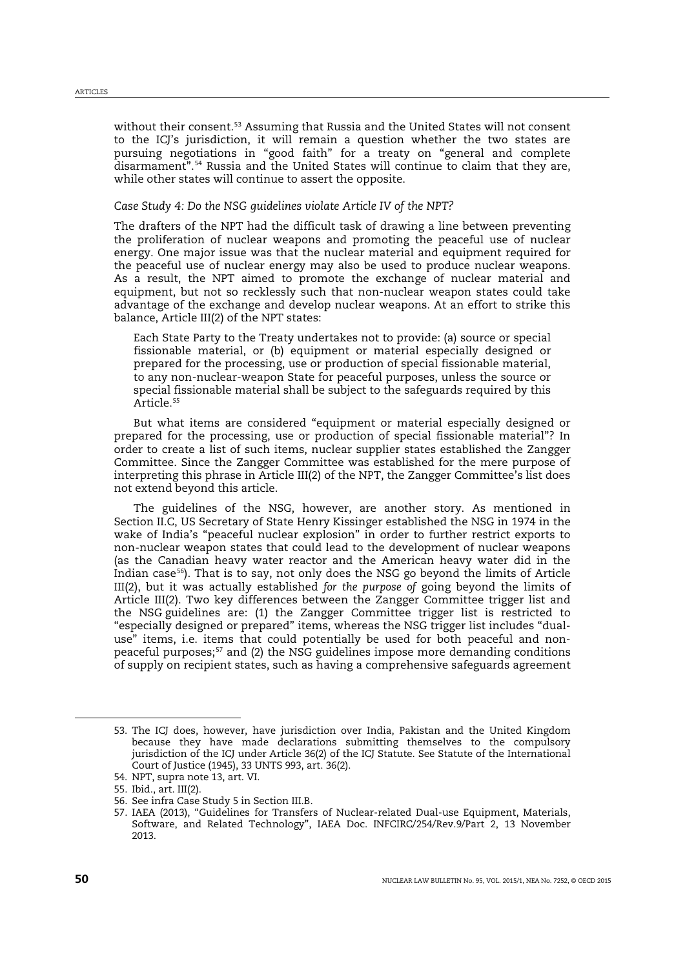without their consent.<sup>[53](#page-9-0)</sup> Assuming that Russia and the United States will not consent to the ICJ's jurisdiction, it will remain a question whether the two states are pursuing negotiations in "good faith" for a treaty on "general and complete disarmament".[54](#page-9-1) Russia and the United States will continue to claim that they are, while other states will continue to assert the opposite.

## *Case Study 4: Do the NSG guidelines violate Article IV of the NPT?*

The drafters of the NPT had the difficult task of drawing a line between preventing the proliferation of nuclear weapons and promoting the peaceful use of nuclear energy. One major issue was that the nuclear material and equipment required for the peaceful use of nuclear energy may also be used to produce nuclear weapons. As a result, the NPT aimed to promote the exchange of nuclear material and equipment, but not so recklessly such that non-nuclear weapon states could take advantage of the exchange and develop nuclear weapons. At an effort to strike this balance, Article III(2) of the NPT states:

Each State Party to the Treaty undertakes not to provide: (a) source or special fissionable material, or (b) equipment or material especially designed or prepared for the processing, use or production of special fissionable material, to any non-nuclear-weapon State for peaceful purposes, unless the source or special fissionable material shall be subject to the safeguards required by this Article*. [55](#page-9-2)*

But what items are considered "equipment or material especially designed or prepared for the processing, use or production of special fissionable material"? In order to create a list of such items, nuclear supplier states established the Zangger Committee. Since the Zangger Committee was established for the mere purpose of interpreting this phrase in Article III(2) of the NPT, the Zangger Committee's list does not extend beyond this article.

The guidelines of the NSG, however, are another story. As mentioned in Section II.C, US Secretary of State Henry Kissinger established the NSG in 1974 in the wake of India's "peaceful nuclear explosion" in order to further restrict exports to non-nuclear weapon states that could lead to the development of nuclear weapons (as the Canadian heavy water reactor and the American heavy water did in the Indian case $56$ ). That is to say, not only does the NSG go beyond the limits of Article III(2), but it was actually established *for the purpose of* going beyond the limits of Article III(2). Two key differences between the Zangger Committee trigger list and the NSG guidelines are: (1) the Zangger Committee trigger list is restricted to "especially designed or prepared" items, whereas the NSG trigger list includes "dualuse" items, i.e. items that could potentially be used for both peaceful and non-peaceful purposes;<sup>[57](#page-9-4)</sup> and (2) the NSG guidelines impose more demanding conditions of supply on recipient states, such as having a comprehensive safeguards agreement

<span id="page-9-0"></span><sup>53.</sup> The ICJ does, however, have jurisdiction over India, Pakistan and the United Kingdom because they have made declarations submitting themselves to the compulsory jurisdiction of the ICJ under Article 36(2) of the ICJ Statute. See Statute of the International Court of Justice (1945), 33 UNTS 993, art. 36(2).

<span id="page-9-1"></span><sup>54.</sup> NPT, supra note [13,](#page-2-3) art. VI.

<span id="page-9-2"></span><sup>55.</sup> Ibid., art. III(2).

<span id="page-9-3"></span><sup>56.</sup> See infra Case Study 5 in Section III.B.

<span id="page-9-4"></span><sup>57.</sup> IAEA (2013), "Guidelines for Transfers of Nuclear-related Dual-use Equipment, Materials, Software, and Related Technology", IAEA Doc. INFCIRC/254/Rev.9/Part 2, 13 November 2013.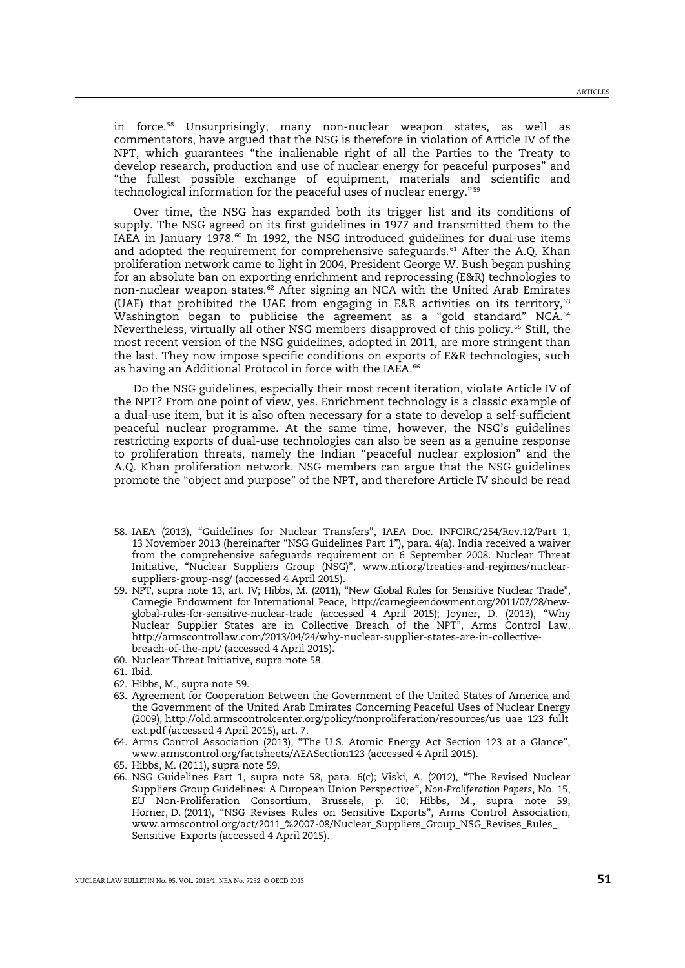<span id="page-10-0"></span>in force.[58](#page-10-2) Unsurprisingly, many non-nuclear weapon states, as well as commentators, have argued that the NSG is therefore in violation of Article IV of the NPT, which guarantees "the inalienable right of all the Parties to the Treaty to develop research, production and use of nuclear energy for peaceful purposes" and "the fullest possible exchange of equipment, materials and scientific and technological information for the peaceful uses of nuclear energy."[59](#page-10-3)

<span id="page-10-1"></span>Over time, the NSG has expanded both its trigger list and its conditions of supply. The NSG agreed on its first guidelines in 1977 and transmitted them to the IAEA in January 1978.<sup>[60](#page-10-4)</sup> In 1992, the NSG introduced guidelines for dual-use items and adopted the requirement for comprehensive safeguards.<sup>[61](#page-10-5)</sup> After the A.Q. Khan proliferation network came to light in 2004, President George W. Bush began pushing for an absolute ban on exporting enrichment and reprocessing (E&R) technologies to non-nuclear weapon states.[62](#page-10-6) After signing an NCA with the United Arab Emirates (UAE) that prohibited the UAE from engaging in E&R activities on its territory, $63$ Washington began to publicise the agreement as a "gold standard" NCA.<sup>[64](#page-10-8)</sup> Nevertheless, virtually all other NSG members disapproved of this policy.[65](#page-10-9) Still, the most recent version of the NSG guidelines, adopted in 2011, are more stringent than the last. They now impose specific conditions on exports of E&R technologies, such as having an Additional Protocol in force with the IAEA.<sup>[66](#page-10-10)</sup>

<span id="page-10-11"></span>Do the NSG guidelines, especially their most recent iteration, violate Article IV of the NPT? From one point of view, yes. Enrichment technology is a classic example of a dual-use item, but it is also often necessary for a state to develop a self-sufficient peaceful nuclear programme. At the same time, however, the NSG's guidelines restricting exports of dual-use technologies can also be seen as a genuine response to proliferation threats, namely the Indian "peaceful nuclear explosion" and the A.Q. Khan proliferation network. NSG members can argue that the NSG guidelines promote the "object and purpose" of the NPT, and therefore Article IV should be read

- <span id="page-10-4"></span>60. Nuclear Threat Initiative, supra note [58.](#page-10-0)
- <span id="page-10-5"></span>61. Ibid.

<span id="page-10-3"></span><span id="page-10-2"></span>-

<span id="page-10-6"></span>62. Hibbs, M., supra note [59.](#page-10-1)

<sup>58.</sup> IAEA (2013), "Guidelines for Nuclear Transfers", IAEA Doc. INFCIRC/254/Rev.12/Part 1, 13 November 2013 (hereinafter "NSG Guidelines Part 1"), para. 4(a). India received a waiver from the comprehensive safeguards requirement on 6 September 2008. Nuclear Threat Initiative, "Nuclear Suppliers Group (NSG)", www.nti.org/treaties-and-regimes/nuclearsuppliers-group-nsg/ (accessed 4 April 2015).

<sup>59.</sup> NPT, supra note [13,](#page-2-3) art. IV; Hibbs, M. (2011), "New Global Rules for Sensitive Nuclear Trade", Carnegie Endowment for International Peace, http://carnegieendowment.org/2011/07/28/newglobal-rules-for-sensitive-nuclear-trade (accessed 4 April 2015); Joyner, D. (2013), "Why Nuclear Supplier States are in Collective Breach of the NPT", Arms Control Law, http://armscontrollaw.com/2013/04/24/why-nuclear-supplier-states-are-in-collectivebreach-of-the-npt/ (accessed 4 April 2015).

<span id="page-10-7"></span><sup>63.</sup> Agreement for Cooperation Between the Government of the United States of America and the Government of the United Arab Emirates Concerning Peaceful Uses of Nuclear Energy (2009), http://old.armscontrolcenter.org/policy/nonproliferation/resources/us\_uae\_123\_fullt ext.pdf (accessed 4 April 2015), art. 7.

<span id="page-10-8"></span><sup>64.</sup> Arms Control Association (2013), "The U.S. Atomic Energy Act Section 123 at a Glance", www.armscontrol.org/factsheets/AEASection123 (accessed 4 April 2015).

<span id="page-10-9"></span><sup>65.</sup> Hibbs, M. (2011), supra not[e 59.](#page-10-1)

<span id="page-10-10"></span><sup>66.</sup> NSG Guidelines Part 1, supra note [58,](#page-10-0) para. 6(c); Viski, A. (2012), "The Revised Nuclear Suppliers Group Guidelines: A European Union Perspective", *Non-Proliferation Papers*, No. 15, EU Non-Proliferation Consortium, Brussels, p. 10; Hibbs, M., supra note [59;](#page-10-1)  Horner, D. (2011), "NSG Revises Rules on Sensitive Exports", Arms Control Association, www.armscontrol.org/act/2011\_%2007-08/Nuclear\_Suppliers\_Group\_NSG\_Revises\_Rules\_ Sensitive\_Exports (accessed 4 April 2015).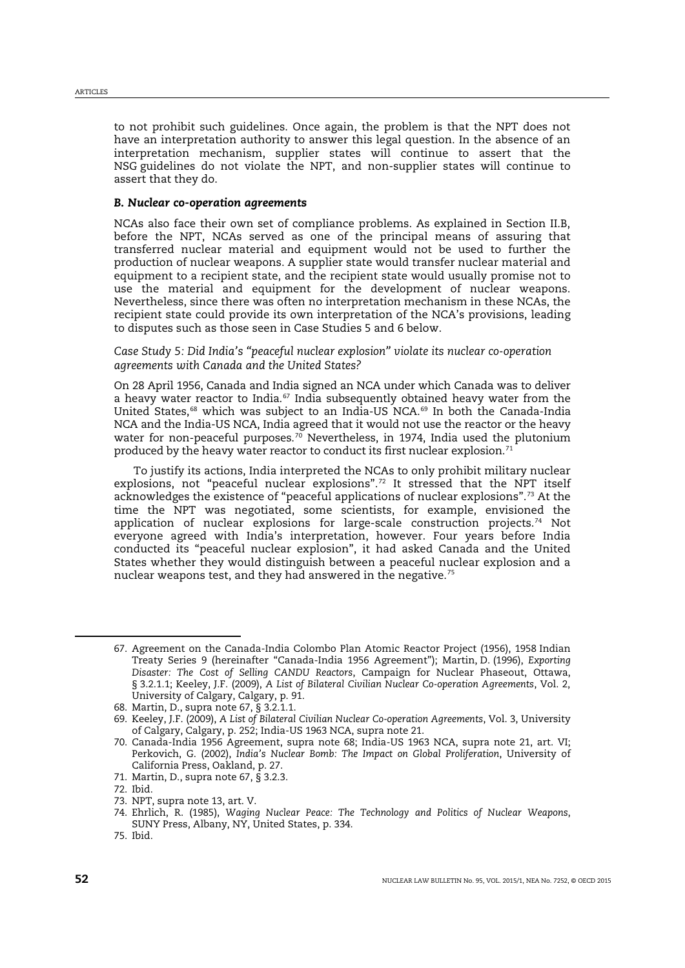to not prohibit such guidelines. Once again, the problem is that the NPT does not have an interpretation authority to answer this legal question. In the absence of an interpretation mechanism, supplier states will continue to assert that the NSG guidelines do not violate the NPT, and non-supplier states will continue to assert that they do.

## *B. Nuclear co-operation agreements*

NCAs also face their own set of compliance problems. As explained in Section II.B, before the NPT, NCAs served as one of the principal means of assuring that transferred nuclear material and equipment would not be used to further the production of nuclear weapons. A supplier state would transfer nuclear material and equipment to a recipient state, and the recipient state would usually promise not to use the material and equipment for the development of nuclear weapons. Nevertheless, since there was often no interpretation mechanism in these NCAs, the recipient state could provide its own interpretation of the NCA's provisions, leading to disputes such as those seen in Case Studies 5 and 6 below.

*Case Study 5: Did India's "peaceful nuclear explosion" violate its nuclear co-operation agreements with Canada and the United States?*

<span id="page-11-11"></span><span id="page-11-1"></span><span id="page-11-0"></span>On 28 April 1956, Canada and India signed an NCA under which Canada was to deliver a heavy water reactor to India. $57$  India subsequently obtained heavy water from the United States,<sup>[68](#page-11-3)</sup> which was subject to an India-US NCA.<sup>[69](#page-11-4)</sup> In both the Canada-India NCA and the India-US NCA, India agreed that it would not use the reactor or the heavy water for non-peaceful purposes.<sup>[70](#page-11-5)</sup> Nevertheless, in 1974, India used the plutonium produced by the heavy water reactor to conduct its first nuclear explosion.<sup>[71](#page-11-6)</sup>

To justify its actions, India interpreted the NCAs to only prohibit military nuclear explosions, not "peaceful nuclear explosions".[72](#page-11-7) It stressed that the NPT itself acknowledges the existence of "peaceful applications of nuclear explosions".[73](#page-11-8) At the time the NPT was negotiated, some scientists, for example, envisioned the application of nuclear explosions for large-scale construction projects.<sup>[74](#page-11-9)</sup> Not everyone agreed with India's interpretation, however. Four years before India conducted its "peaceful nuclear explosion", it had asked Canada and the United States whether they would distinguish between a peaceful nuclear explosion and a nuclear weapons test, and they had answered in the negative.<sup>[75](#page-11-10)</sup>

71. Martin, D., supra note [67,](#page-11-0) § 3.2.3.

<span id="page-11-8"></span>73. NPT, supra note [13,](#page-2-3) art. V.

<span id="page-11-2"></span><sup>67.</sup> Agreement on the Canada-India Colombo Plan Atomic Reactor Project (1956), 1958 Indian Treaty Series 9 (hereinafter "Canada-India 1956 Agreement"); Martin, D. (1996), *Exporting Disaster: The Cost of Selling CANDU Reactors*, Campaign for Nuclear Phaseout, Ottawa, § 3.2.1.1; Keeley, J.F. (2009), *A List of Bilateral Civilian Nuclear Co-operation Agreements*, Vol. 2, University of Calgary, Calgary, p. 91.

<span id="page-11-3"></span><sup>68.</sup> Martin, D., supra note [67,](#page-11-0) § 3.2.1.1.

<span id="page-11-4"></span><sup>69.</sup> Keeley, J.F. (2009), *A List of Bilateral Civilian Nuclear Co-operation Agreements*, Vol. 3, University of Calgary, Calgary, p. 252; India-US 1963 NCA, supra note [21.](#page-4-8)

<span id="page-11-5"></span><sup>70.</sup> Canada-India 1956 Agreement, supra note [68;](#page-11-1) India-US 1963 NCA, supra note [21,](#page-4-8) art. VI; Perkovich, G. (2002), *India's Nuclear Bomb: The Impact on Global Proliferation*, University of California Press, Oakland, p. 27.

<span id="page-11-7"></span><span id="page-11-6"></span><sup>72.</sup> Ibid.

<span id="page-11-9"></span><sup>74.</sup> Ehrlich, R. (1985), *Waging Nuclear Peace: The Technology and Politics of Nuclear Weapons*, SUNY Press, Albany, NY, United States, p. 334.

<span id="page-11-10"></span><sup>75.</sup> Ibid.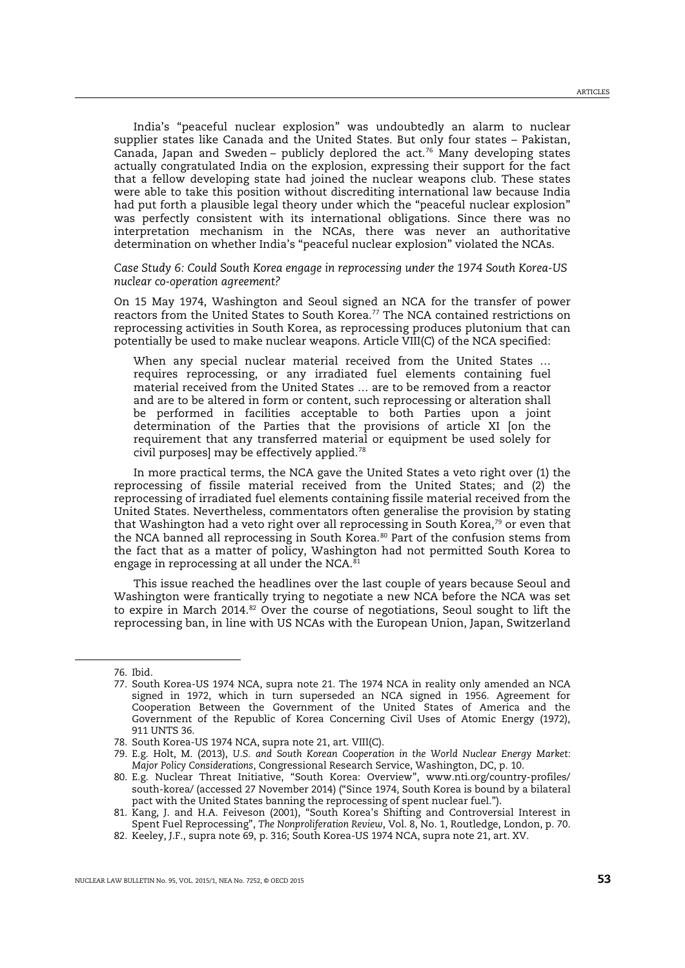India's "peaceful nuclear explosion" was undoubtedly an alarm to nuclear supplier states like Canada and the United States. But only four states – Pakistan, Canada, Japan and Sweden – publicly deplored the act.<sup>[76](#page-12-0)</sup> Many developing states actually congratulated India on the explosion, expressing their support for the fact that a fellow developing state had joined the nuclear weapons club. These states were able to take this position without discrediting international law because India had put forth a plausible legal theory under which the "peaceful nuclear explosion" was perfectly consistent with its international obligations. Since there was no interpretation mechanism in the NCAs, there was never an authoritative determination on whether India's "peaceful nuclear explosion" violated the NCAs.

*Case Study 6: Could South Korea engage in reprocessing under the 1974 South Korea-US nuclear co-operation agreement?*

On 15 May 1974, Washington and Seoul signed an NCA for the transfer of power reactors from the United States to South Korea.<sup>[77](#page-12-1)</sup> The NCA contained restrictions on reprocessing activities in South Korea, as reprocessing produces plutonium that can potentially be used to make nuclear weapons. Article VIII(C) of the NCA specified:

When any special nuclear material received from the United States … requires reprocessing, or any irradiated fuel elements containing fuel material received from the United States … are to be removed from a reactor and are to be altered in form or content, such reprocessing or alteration shall be performed in facilities acceptable to both Parties upon a joint determination of the Parties that the provisions of article XI [on the requirement that any transferred material or equipment be used solely for civil purposes] may be effectively applied.[78](#page-12-2)

In more practical terms, the NCA gave the United States a veto right over (1) the reprocessing of fissile material received from the United States; and (2) the reprocessing of irradiated fuel elements containing fissile material received from the United States. Nevertheless, commentators often generalise the provision by stating that Washington had a veto right over all reprocessing in South Korea,<sup>[79](#page-12-3)</sup> or even that the NCA banned all reprocessing in South Korea.<sup>[80](#page-12-4)</sup> Part of the confusion stems from the fact that as a matter of policy, Washington had not permitted South Korea to engage in reprocessing at all under the NCA. $81$ 

This issue reached the headlines over the last couple of years because Seoul and Washington were frantically trying to negotiate a new NCA before the NCA was set to expire in March 2014. $82$  Over the course of negotiations, Seoul sought to lift the reprocessing ban, in line with US NCAs with the European Union, Japan, Switzerland

<span id="page-12-0"></span><sup>76.</sup> Ibid.

<span id="page-12-1"></span><sup>77.</sup> South Korea-US 1974 NCA, supra note [21.](#page-4-8) The 1974 NCA in reality only amended an NCA signed in 1972, which in turn superseded an NCA signed in 1956. Agreement for Cooperation Between the Government of the United States of America and the Government of the Republic of Korea Concerning Civil Uses of Atomic Energy (1972), 911 UNTS 36.

<span id="page-12-2"></span><sup>78.</sup> South Korea-US 1974 NCA, supra note [21,](#page-4-8) art. VIII(C).

<span id="page-12-3"></span><sup>79.</sup> E.g. Holt, M. (2013), *U.S. and South Korean Cooperation in the World Nuclear Energy Market: Major Policy Considerations*, Congressional Research Service, Washington, DC, p. 10.

<span id="page-12-4"></span><sup>80.</sup> E.g. Nuclear Threat Initiative, "South Korea: Overview", www.nti.org/country-profiles/ south-korea/ (accessed 27 November 2014) ("Since 1974, South Korea is bound by a bilateral pact with the United States banning the reprocessing of spent nuclear fuel.").

<span id="page-12-5"></span><sup>81.</sup> Kang, J. and H.A. Feiveson (2001), "South Korea's Shifting and Controversial Interest in Spent Fuel Reprocessing", *The Nonproliferation Review*, Vol. 8, No. 1, Routledge, London, p. 70.

<span id="page-12-6"></span><sup>82.</sup> Keeley, J.F., supra note [69,](#page-11-11) p. 316; South Korea-US 1974 NCA, supra not[e 21,](#page-4-8) art. XV.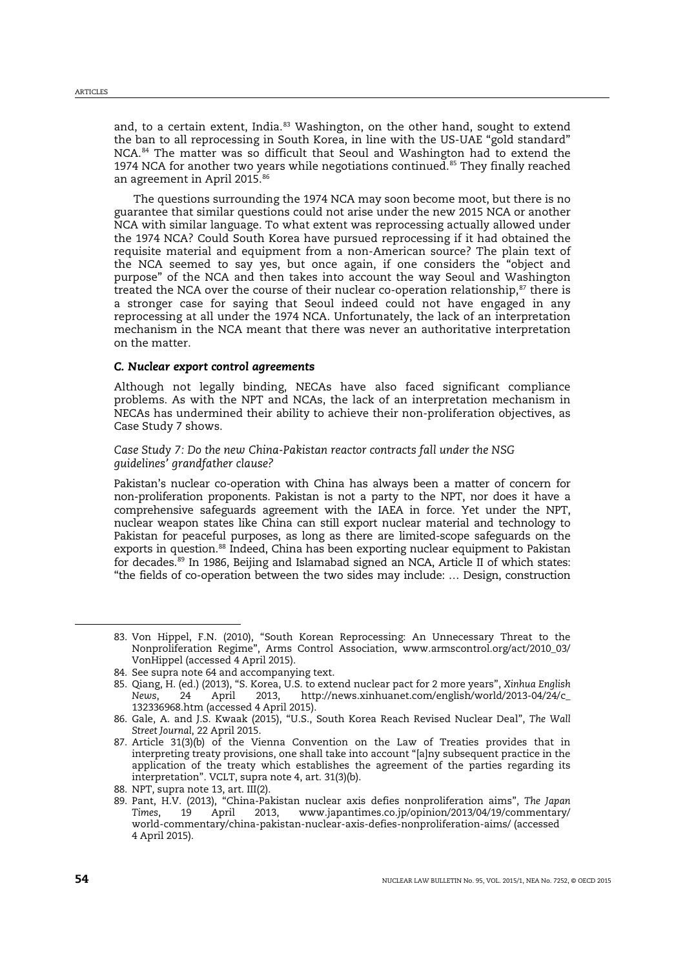and, to a certain extent, India.<sup>[83](#page-13-0)</sup> Washington, on the other hand, sought to extend the ban to all reprocessing in South Korea, in line with the US-UAE "gold standard" NCA.<sup>[84](#page-13-1)</sup> The matter was so difficult that Seoul and Washington had to extend the 1974 NCA for another two years while negotiations continued.<sup>[85](#page-13-2)</sup> They finally reached an agreement in April 2015.<sup>[86](#page-13-3)</sup>

<span id="page-13-8"></span>The questions surrounding the 1974 NCA may soon become moot, but there is no guarantee that similar questions could not arise under the new 2015 NCA or another NCA with similar language. To what extent was reprocessing actually allowed under the 1974 NCA? Could South Korea have pursued reprocessing if it had obtained the requisite material and equipment from a non-American source? The plain text of the NCA seemed to say yes, but once again, if one considers the "object and purpose" of the NCA and then takes into account the way Seoul and Washington treated the NCA over the course of their nuclear co-operation relationship, $s<sup>7</sup>$  there is a stronger case for saying that Seoul indeed could not have engaged in any reprocessing at all under the 1974 NCA. Unfortunately, the lack of an interpretation mechanism in the NCA meant that there was never an authoritative interpretation on the matter.

## *C. Nuclear export control agreements*

Although not legally binding, NECAs have also faced significant compliance problems. As with the NPT and NCAs, the lack of an interpretation mechanism in NECAs has undermined their ability to achieve their non-proliferation objectives, as Case Study 7 shows.

*Case Study 7: Do the new China-Pakistan reactor contracts fall under the NSG guidelines' grandfather clause?*

Pakistan's nuclear co-operation with China has always been a matter of concern for non-proliferation proponents. Pakistan is not a party to the NPT, nor does it have a comprehensive safeguards agreement with the IAEA in force. Yet under the NPT, nuclear weapon states like China can still export nuclear material and technology to Pakistan for peaceful purposes, as long as there are limited-scope safeguards on the exports in question.<sup>[88](#page-13-5)</sup> Indeed, China has been exporting nuclear equipment to Pakistan for decades.<sup>[89](#page-13-6)</sup> In 1986, Beijing and Islamabad signed an NCA, Article II of which states: "the fields of co-operation between the two sides may include: … Design, construction

<span id="page-13-7"></span><span id="page-13-0"></span><sup>83.</sup> Von Hippel, F.N. (2010), "South Korean Reprocessing: An Unnecessary Threat to the Nonproliferation Regime", Arms Control Association, www.armscontrol.org/act/2010\_03/ VonHippel (accessed 4 April 2015).

<span id="page-13-1"></span><sup>84.</sup> See supra not[e 64](#page-10-11) and accompanying text.

<span id="page-13-2"></span><sup>85.</sup> Qiang, H. (ed.) (2013), "S. Korea, U.S. to extend nuclear pact for 2 more years", *Xinhua English News*, 24 April 2013, http://news.xinhuanet.com/english/world/2013-04/24/c\_ 132336968.htm (accessed 4 April 2015).

<span id="page-13-3"></span><sup>86.</sup> Gale, A. and J.S. Kwaak (2015), "U.S., South Korea Reach Revised Nuclear Deal", *The Wall Street Journal*, 22 April 2015.

<span id="page-13-4"></span><sup>87.</sup> Article 31(3)(b) of the Vienna Convention on the Law of Treaties provides that in interpreting treaty provisions, one shall take into account "[a]ny subsequent practice in the application of the treaty which establishes the agreement of the parties regarding its interpretation". VCLT, supra note [4,](#page-1-7) art. 31(3)(b).

<span id="page-13-5"></span><sup>88.</sup> NPT, supra note [13,](#page-2-3) art. III(2).

<span id="page-13-6"></span><sup>89.</sup> Pant, H.V. (2013), "China-Pakistan nuclear axis defies nonproliferation aims", *The Japan Times*, 19 April 2013, www.japantimes.co.jp/opinion/2013/04/19/commentary/ world-commentary/china-pakistan-nuclear-axis-defies-nonproliferation-aims/ (accessed 4 April 2015).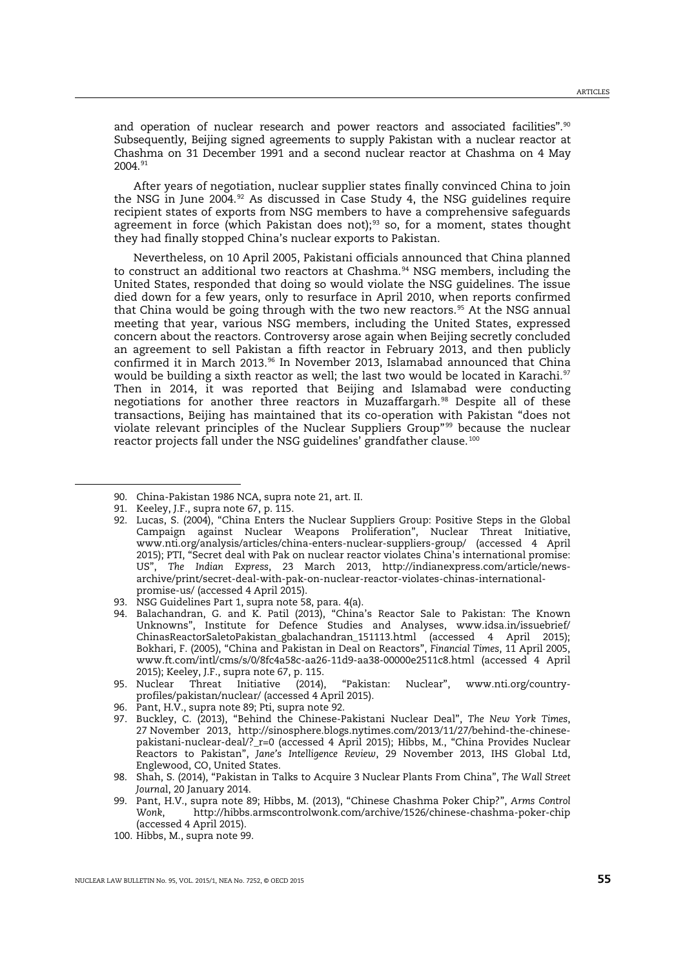<span id="page-14-13"></span>and operation of nuclear research and power reactors and associated facilities".<sup>[90](#page-14-2)</sup> Subsequently, Beijing signed agreements to supply Pakistan with a nuclear reactor at Chashma on 31 December 1991 and a second nuclear reactor at Chashma on 4 May 2004.[91](#page-14-3)

<span id="page-14-0"></span>After years of negotiation, nuclear supplier states finally convinced China to join the NSG in June  $2004.92$  $2004.92$  As discussed in Case Study 4, the NSG guidelines require recipient states of exports from NSG members to have a comprehensive safeguards agreement in force (which Pakistan does not);<sup>[93](#page-14-5)</sup> so, for a moment, states thought they had finally stopped China's nuclear exports to Pakistan.

<span id="page-14-14"></span>Nevertheless, on 10 April 2005, Pakistani officials announced that China planned to construct an additional two reactors at Chashma.<sup>[94](#page-14-6)</sup> NSG members, including the United States, responded that doing so would violate the NSG guidelines. The issue died down for a few years, only to resurface in April 2010, when reports confirmed that China would be going through with the two new reactors.<sup>[95](#page-14-7)</sup> At the NSG annual meeting that year, various NSG members, including the United States, expressed concern about the reactors. Controversy arose again when Beijing secretly concluded an agreement to sell Pakistan a fifth reactor in February 2013, and then publicly confirmed it in March 2013.<sup>[96](#page-14-8)</sup> In November 2013, Islamabad announced that China would be building a sixth reactor as well; the last two would be located in Karachi.<sup>[97](#page-14-9)</sup> Then in 2014, it was reported that Beijing and Islamabad were conducting negotiations for another three reactors in Muzaffargarh.<sup>[98](#page-14-10)</sup> Despite all of these transactions, Beijing has maintained that its co-operation with Pakistan "does not violate relevant principles of the Nuclear Suppliers Group"[99](#page-14-11) because the nuclear reactor projects fall under the NSG guidelines' grandfather clause.<sup>[100](#page-14-12)</sup>

<span id="page-14-4"></span><span id="page-14-3"></span><span id="page-14-2"></span>1

<span id="page-14-8"></span>96. Pant, H.V., supra note [89;](#page-13-7) Pti, supra note [92.](#page-14-0)

<span id="page-14-1"></span><sup>90.</sup> China-Pakistan 1986 NCA, supra not[e 21,](#page-4-8) art. II.

<sup>91.</sup> Keeley, J.F., supra note [67,](#page-11-0) p. 115.

<sup>92.</sup> Lucas, S. (2004), "China Enters the Nuclear Suppliers Group: Positive Steps in the Global Campaign against Nuclear Weapons Proliferation", Nuclear Threat Initiative, www.nti.org/analysis/articles/china-enters-nuclear-suppliers-group/ (accessed 4 April 2015); PTI, "Secret deal with Pak on nuclear reactor violates China's international promise: US", *The Indian Express*, 23 March 2013, http://indianexpress.com/article/newsarchive/print/secret-deal-with-pak-on-nuclear-reactor-violates-chinas-internationalpromise-us/ (accessed 4 April 2015).

<span id="page-14-5"></span><sup>93.</sup> NSG Guidelines Part 1, supra note [58,](#page-10-0) para. 4(a).

<span id="page-14-6"></span><sup>94.</sup> Balachandran, G. and K. Patil (2013), "China's Reactor Sale to Pakistan: The Known Unknowns", Institute for Defence Studies and Analyses, www.idsa.in/issuebrief/ ChinasReactorSaletoPakistan\_gbalachandran\_151113.html (accessed 4 April 2015); Bokhari, F. (2005), "China and Pakistan in Deal on Reactors", *Financial Times*, 11 April 2005, www.ft.com/intl/cms/s/0/8fc4a58c-aa26-11d9-aa38-00000e2511c8.html (accessed 4 April 2015); Keeley, J.F., supra note [67,](#page-11-0) p. 115.

<span id="page-14-7"></span><sup>95.</sup> Nuclear Threat Initiative (2014), "Pakistan: Nuclear", www.nti.org/countryprofiles/pakistan/nuclear/ (accessed 4 April 2015).

<span id="page-14-9"></span><sup>97.</sup> Buckley, C. (2013), "Behind the Chinese-Pakistani Nuclear Deal", *The New York Times*, 27 November 2013, http://sinosphere.blogs.nytimes.com/2013/11/27/behind-the-chinesepakistani-nuclear-deal/?\_r=0 (accessed 4 April 2015); Hibbs, M., "China Provides Nuclear Reactors to Pakistan", *Jane's Intelligence Review*, 29 November 2013, IHS Global Ltd, Englewood, CO, United States.

<span id="page-14-10"></span><sup>98.</sup> Shah, S. (2014), "Pakistan in Talks to Acquire 3 Nuclear Plants From China", *The Wall Street Journa*l, 20 January 2014.

<span id="page-14-11"></span><sup>99.</sup> Pant, H.V., supra note [89;](#page-13-7) Hibbs, M. (2013), "Chinese Chashma Poker Chip?", *Arms Control Wonk*, http://hibbs.armscontrolwonk.com/archive/1526/chinese-chashma-poker-chip (accessed 4 April 2015).

<span id="page-14-12"></span><sup>100.</sup> Hibbs, M., supra note [99.](#page-14-1)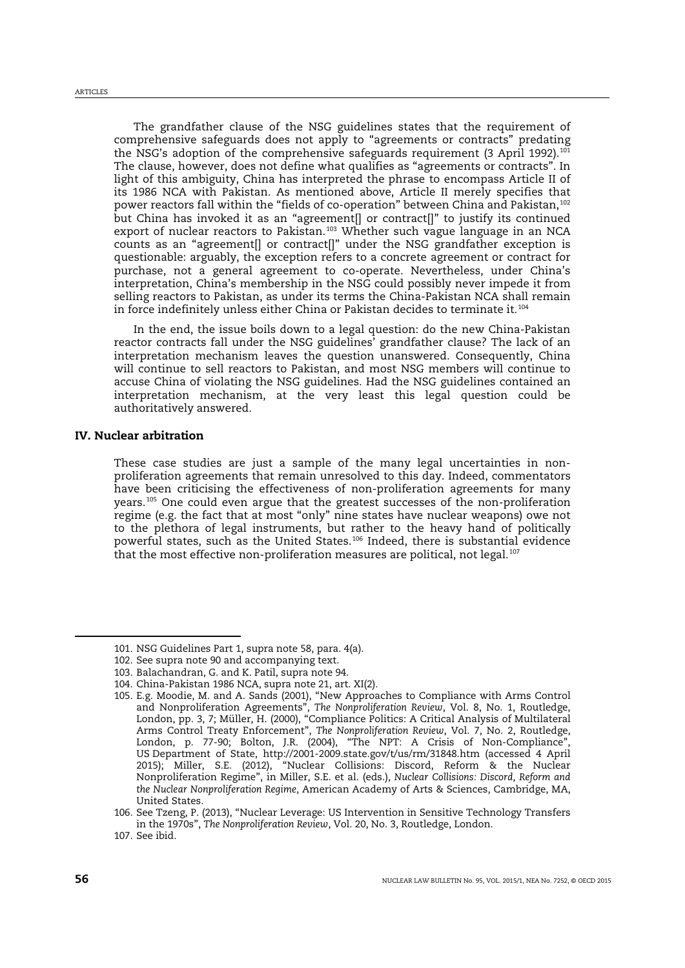The grandfather clause of the NSG guidelines states that the requirement of comprehensive safeguards does not apply to "agreements or contracts" predating the NSG's adoption of the comprehensive safeguards requirement (3 April 1992).<sup>[101](#page-15-0)</sup> The clause, however, does not define what qualifies as "agreements or contracts". In light of this ambiguity, China has interpreted the phrase to encompass Article II of its 1986 NCA with Pakistan. As mentioned above, Article II merely specifies that power reactors fall within the "fields of co-operation" between China and Pakistan,[102](#page-15-1) but China has invoked it as an "agreement[] or contract[]" to justify its continued export of nuclear reactors to Pakistan.<sup>[103](#page-15-2)</sup> Whether such vague language in an NCA counts as an "agreement[] or contract[]" under the NSG grandfather exception is questionable: arguably, the exception refers to a concrete agreement or contract for purchase, not a general agreement to co-operate. Nevertheless, under China's interpretation, China's membership in the NSG could possibly never impede it from selling reactors to Pakistan, as under its terms the China-Pakistan NCA shall remain in force indefinitely unless either China or Pakistan decides to terminate it.[104](#page-15-3)

In the end, the issue boils down to a legal question: do the new China-Pakistan reactor contracts fall under the NSG guidelines' grandfather clause? The lack of an interpretation mechanism leaves the question unanswered. Consequently, China will continue to sell reactors to Pakistan, and most NSG members will continue to accuse China of violating the NSG guidelines. Had the NSG guidelines contained an interpretation mechanism, at the very least this legal question could be authoritatively answered.

## IV. Nuclear arbitration

<span id="page-15-8"></span><span id="page-15-7"></span>These case studies are just a sample of the many legal uncertainties in nonproliferation agreements that remain unresolved to this day. Indeed, commentators have been criticising the effectiveness of non-proliferation agreements for many years.[105](#page-15-4) One could even argue that the greatest successes of the non-proliferation regime (e.g. the fact that at most "only" nine states have nuclear weapons) owe not to the plethora of legal instruments, but rather to the heavy hand of politically powerful states, such as the United States.[106](#page-15-5) Indeed, there is substantial evidence that the most effective non-proliferation measures are political, not legal.<sup>[107](#page-15-6)</sup>

<span id="page-15-0"></span><sup>101.</sup> NSG Guidelines Part 1, supra note [58,](#page-10-0) para. 4(a).

<span id="page-15-1"></span><sup>102.</sup> See supra not[e 90](#page-14-13) and accompanying text.

<span id="page-15-2"></span><sup>103.</sup> Balachandran, G. and K. Patil, supra not[e 94.](#page-14-14)

<span id="page-15-4"></span><span id="page-15-3"></span><sup>104.</sup> China-Pakistan 1986 NCA, supra not[e 21,](#page-4-8) art. XI(2).

<sup>105.</sup> E.g. Moodie, M. and A. Sands (2001), "New Approaches to Compliance with Arms Control and Nonproliferation Agreements", *The Nonproliferation Review*, Vol. 8, No. 1, Routledge, London, pp. 3, 7; Müller, H. (2000), "Compliance Politics: A Critical Analysis of Multilateral Arms Control Treaty Enforcement", *The Nonproliferation Review*, Vol. 7, No. 2, Routledge, London, p. 77-90; Bolton, J.R. (2004), "The NPT: A Crisis of Non-Compliance", US Department of State, http://2001-2009.state.gov/t/us/rm/31848.htm (accessed 4 April 2015); Miller, S.E. (2012), "Nuclear Collisions: Discord, Reform & the Nuclear Nonproliferation Regime", in Miller, S.E. et al. (eds.), *Nuclear Collisions: Discord, Reform and the Nuclear Nonproliferation Regime*, American Academy of Arts & Sciences, Cambridge, MA, United States.

<span id="page-15-5"></span><sup>106.</sup> See Tzeng, P. (2013), "Nuclear Leverage: US Intervention in Sensitive Technology Transfers in the 1970s", *The Nonproliferation Review*, Vol. 20, No. 3, Routledge, London.

<span id="page-15-6"></span><sup>107.</sup> See ibid.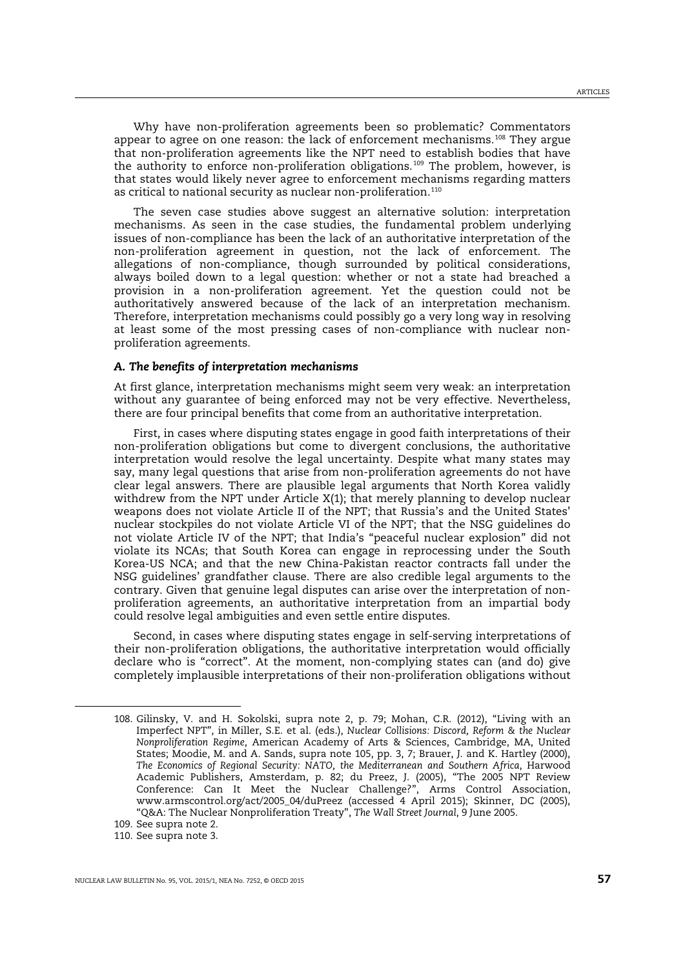Why have non-proliferation agreements been so problematic? Commentators appear to agree on one reason: the lack of enforcement mechanisms.<sup>[108](#page-16-0)</sup> They argue that non-proliferation agreements like the NPT need to establish bodies that have the authority to enforce non-proliferation obligations.<sup>[109](#page-16-1)</sup> The problem, however, is that states would likely never agree to enforcement mechanisms regarding matters as critical to national security as nuclear non-proliferation.<sup>[110](#page-16-2)</sup>

The seven case studies above suggest an alternative solution: interpretation mechanisms. As seen in the case studies, the fundamental problem underlying issues of non-compliance has been the lack of an authoritative interpretation of the non-proliferation agreement in question, not the lack of enforcement. The allegations of non-compliance, though surrounded by political considerations, always boiled down to a legal question: whether or not a state had breached a provision in a non-proliferation agreement. Yet the question could not be authoritatively answered because of the lack of an interpretation mechanism. Therefore, interpretation mechanisms could possibly go a very long way in resolving at least some of the most pressing cases of non-compliance with nuclear nonproliferation agreements.

## *A. The benefits of interpretation mechanisms*

At first glance, interpretation mechanisms might seem very weak: an interpretation without any guarantee of being enforced may not be very effective. Nevertheless, there are four principal benefits that come from an authoritative interpretation.

First, in cases where disputing states engage in good faith interpretations of their non-proliferation obligations but come to divergent conclusions, the authoritative interpretation would resolve the legal uncertainty. Despite what many states may say, many legal questions that arise from non-proliferation agreements do not have clear legal answers. There are plausible legal arguments that North Korea validly withdrew from the NPT under Article X(1); that merely planning to develop nuclear weapons does not violate Article II of the NPT; that Russia's and the United States' nuclear stockpiles do not violate Article VI of the NPT; that the NSG guidelines do not violate Article IV of the NPT; that India's "peaceful nuclear explosion" did not violate its NCAs; that South Korea can engage in reprocessing under the South Korea-US NCA; and that the new China-Pakistan reactor contracts fall under the NSG guidelines' grandfather clause. There are also credible legal arguments to the contrary. Given that genuine legal disputes can arise over the interpretation of nonproliferation agreements, an authoritative interpretation from an impartial body could resolve legal ambiguities and even settle entire disputes.

Second, in cases where disputing states engage in self-serving interpretations of their non-proliferation obligations, the authoritative interpretation would officially declare who is "correct". At the moment, non-complying states can (and do) give completely implausible interpretations of their non-proliferation obligations without

<span id="page-16-1"></span>109. See supra not[e 2.](#page-0-4)

<span id="page-16-0"></span><sup>108.</sup> Gilinsky, V. and H. Sokolski, supra note [2,](#page-0-4) p. 79; Mohan, C.R. (2012), "Living with an Imperfect NPT", in Miller, S.E. et al. (eds.), *Nuclear Collisions: Discord, Reform & the Nuclear Nonproliferation Regime*, American Academy of Arts & Sciences, Cambridge, MA, United States; Moodie, M. and A. Sands, supra note [105,](#page-15-7) pp. 3, 7; Brauer, J. and K. Hartley (2000), *The Economics of Regional Security: NATO, the Mediterranean and Southern Africa*, Harwood Academic Publishers, Amsterdam, p. 82; du Preez, J. (2005), "The 2005 NPT Review Conference: Can It Meet the Nuclear Challenge?", Arms Control Association, www.armscontrol.org/act/2005\_04/duPreez (accessed 4 April 2015); Skinner, DC (2005), "Q&A: The Nuclear Nonproliferation Treaty", *The Wall Street Journal*, 9 June 2005.

<span id="page-16-2"></span><sup>110.</sup> See supra not[e 3.](#page-0-5)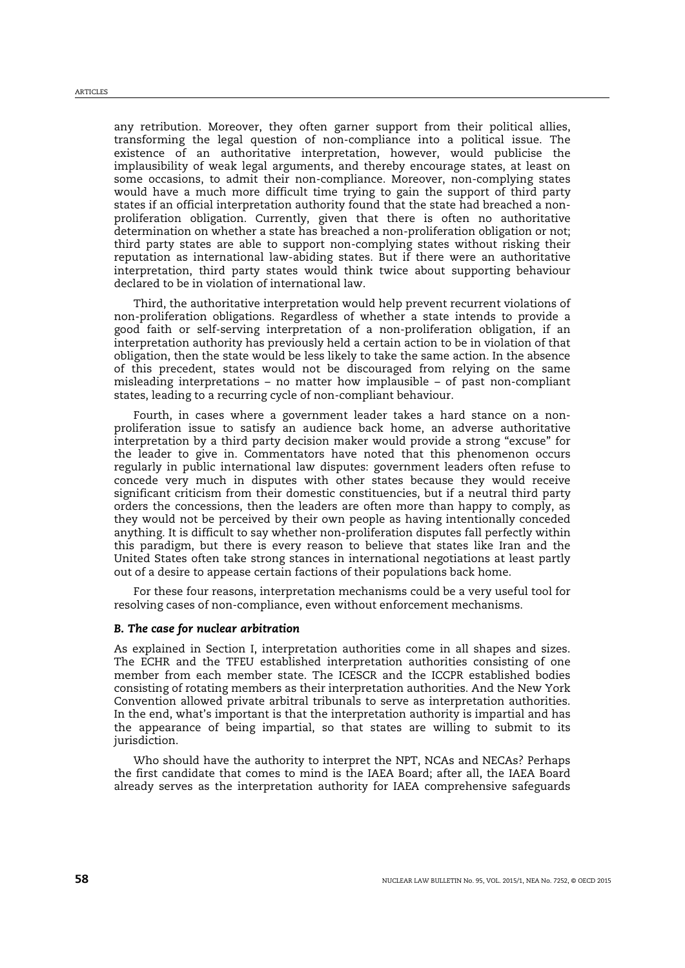any retribution. Moreover, they often garner support from their political allies, transforming the legal question of non-compliance into a political issue. The existence of an authoritative interpretation, however, would publicise the implausibility of weak legal arguments, and thereby encourage states, at least on some occasions, to admit their non-compliance. Moreover, non-complying states would have a much more difficult time trying to gain the support of third party states if an official interpretation authority found that the state had breached a nonproliferation obligation. Currently, given that there is often no authoritative determination on whether a state has breached a non-proliferation obligation or not; third party states are able to support non-complying states without risking their reputation as international law-abiding states. But if there were an authoritative interpretation, third party states would think twice about supporting behaviour declared to be in violation of international law.

Third, the authoritative interpretation would help prevent recurrent violations of non-proliferation obligations. Regardless of whether a state intends to provide a good faith or self-serving interpretation of a non-proliferation obligation, if an interpretation authority has previously held a certain action to be in violation of that obligation, then the state would be less likely to take the same action. In the absence of this precedent, states would not be discouraged from relying on the same misleading interpretations – no matter how implausible – of past non-compliant states, leading to a recurring cycle of non-compliant behaviour.

Fourth, in cases where a government leader takes a hard stance on a nonproliferation issue to satisfy an audience back home, an adverse authoritative interpretation by a third party decision maker would provide a strong "excuse" for the leader to give in. Commentators have noted that this phenomenon occurs regularly in public international law disputes: government leaders often refuse to concede very much in disputes with other states because they would receive significant criticism from their domestic constituencies, but if a neutral third party orders the concessions, then the leaders are often more than happy to comply, as they would not be perceived by their own people as having intentionally conceded anything. It is difficult to say whether non-proliferation disputes fall perfectly within this paradigm, but there is every reason to believe that states like Iran and the United States often take strong stances in international negotiations at least partly out of a desire to appease certain factions of their populations back home.

For these four reasons, interpretation mechanisms could be a very useful tool for resolving cases of non-compliance, even without enforcement mechanisms.

#### *B. The case for nuclear arbitration*

As explained in Section I, interpretation authorities come in all shapes and sizes. The ECHR and the TFEU established interpretation authorities consisting of one member from each member state. The ICESCR and the ICCPR established bodies consisting of rotating members as their interpretation authorities. And the New York Convention allowed private arbitral tribunals to serve as interpretation authorities. In the end, what's important is that the interpretation authority is impartial and has the appearance of being impartial, so that states are willing to submit to its jurisdiction.

Who should have the authority to interpret the NPT, NCAs and NECAs? Perhaps the first candidate that comes to mind is the IAEA Board; after all, the IAEA Board already serves as the interpretation authority for IAEA comprehensive safeguards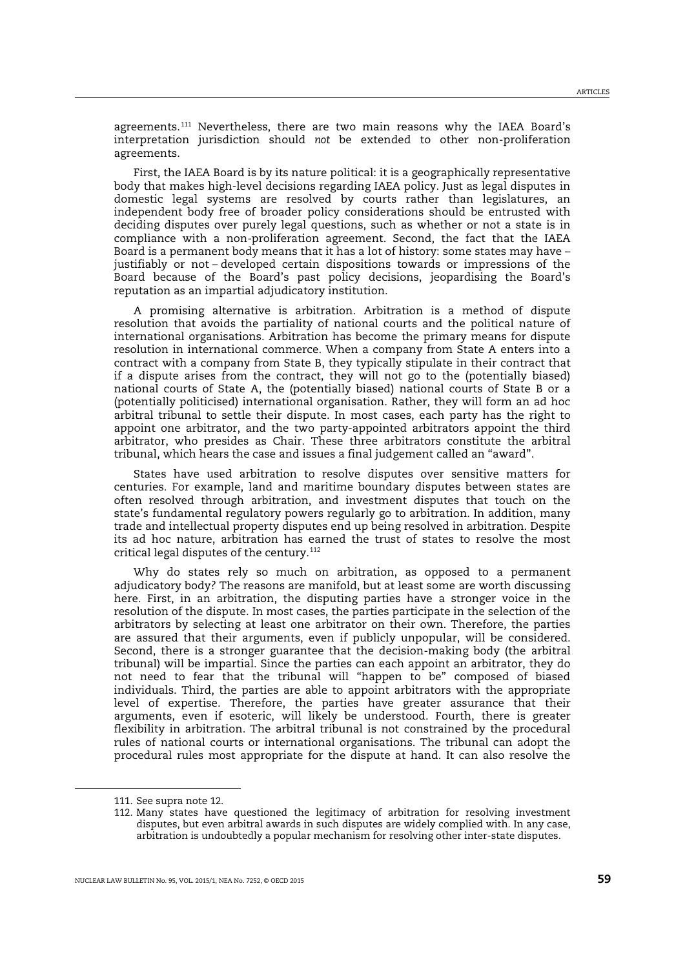agreements.[111](#page-18-0) Nevertheless, there are two main reasons why the IAEA Board's interpretation jurisdiction should *not* be extended to other non-proliferation agreements.

First, the IAEA Board is by its nature political: it is a geographically representative body that makes high-level decisions regarding IAEA policy. Just as legal disputes in domestic legal systems are resolved by courts rather than legislatures, an independent body free of broader policy considerations should be entrusted with deciding disputes over purely legal questions, such as whether or not a state is in compliance with a non-proliferation agreement. Second, the fact that the IAEA Board is a permanent body means that it has a lot of history: some states may have – justifiably or not – developed certain dispositions towards or impressions of the Board because of the Board's past policy decisions, jeopardising the Board's reputation as an impartial adjudicatory institution.

A promising alternative is arbitration. Arbitration is a method of dispute resolution that avoids the partiality of national courts and the political nature of international organisations. Arbitration has become the primary means for dispute resolution in international commerce. When a company from State A enters into a contract with a company from State B, they typically stipulate in their contract that if a dispute arises from the contract, they will not go to the (potentially biased) national courts of State A, the (potentially biased) national courts of State B or a (potentially politicised) international organisation. Rather, they will form an ad hoc arbitral tribunal to settle their dispute. In most cases, each party has the right to appoint one arbitrator, and the two party-appointed arbitrators appoint the third arbitrator, who presides as Chair. These three arbitrators constitute the arbitral tribunal, which hears the case and issues a final judgement called an "award".

States have used arbitration to resolve disputes over sensitive matters for centuries. For example, land and maritime boundary disputes between states are often resolved through arbitration, and investment disputes that touch on the state's fundamental regulatory powers regularly go to arbitration. In addition, many trade and intellectual property disputes end up being resolved in arbitration. Despite its ad hoc nature, arbitration has earned the trust of states to resolve the most critical legal disputes of the century.<sup>[112](#page-18-1)</sup>

Why do states rely so much on arbitration, as opposed to a permanent adjudicatory body? The reasons are manifold, but at least some are worth discussing here. First, in an arbitration, the disputing parties have a stronger voice in the resolution of the dispute. In most cases, the parties participate in the selection of the arbitrators by selecting at least one arbitrator on their own. Therefore, the parties are assured that their arguments, even if publicly unpopular, will be considered. Second, there is a stronger guarantee that the decision-making body (the arbitral tribunal) will be impartial. Since the parties can each appoint an arbitrator, they do not need to fear that the tribunal will "happen to be" composed of biased individuals. Third, the parties are able to appoint arbitrators with the appropriate level of expertise. Therefore, the parties have greater assurance that their arguments, even if esoteric, will likely be understood. Fourth, there is greater flexibility in arbitration. The arbitral tribunal is not constrained by the procedural rules of national courts or international organisations. The tribunal can adopt the procedural rules most appropriate for the dispute at hand. It can also resolve the

<span id="page-18-0"></span><sup>111.</sup> See supra not[e 12.](#page-2-4)

<span id="page-18-1"></span><sup>112.</sup> Many states have questioned the legitimacy of arbitration for resolving investment disputes, but even arbitral awards in such disputes are widely complied with. In any case, arbitration is undoubtedly a popular mechanism for resolving other inter-state disputes.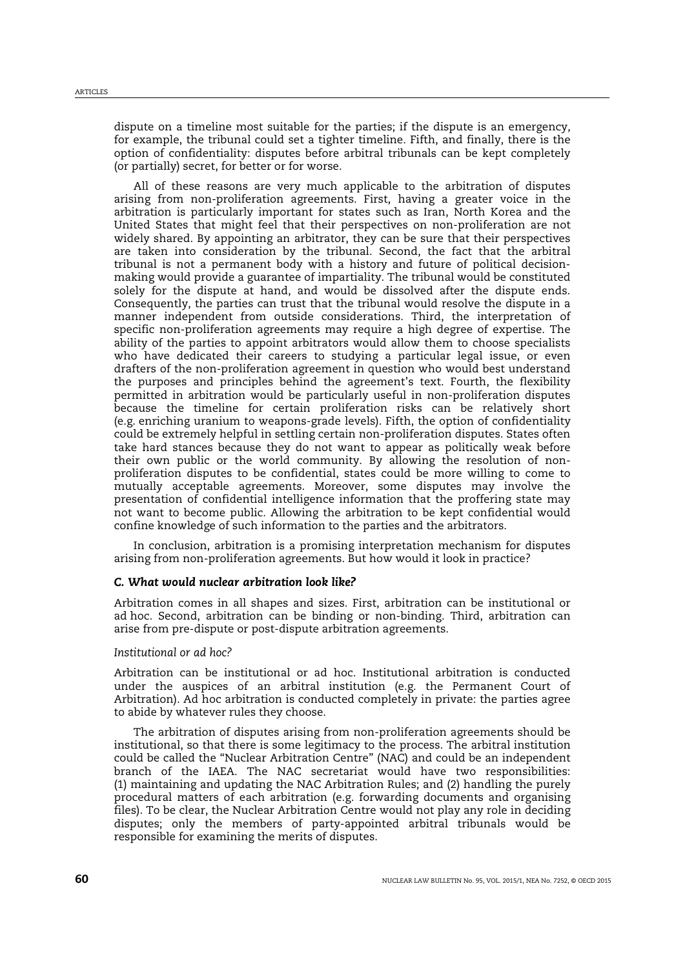dispute on a timeline most suitable for the parties; if the dispute is an emergency, for example, the tribunal could set a tighter timeline. Fifth, and finally, there is the option of confidentiality: disputes before arbitral tribunals can be kept completely (or partially) secret, for better or for worse.

All of these reasons are very much applicable to the arbitration of disputes arising from non-proliferation agreements. First, having a greater voice in the arbitration is particularly important for states such as Iran, North Korea and the United States that might feel that their perspectives on non-proliferation are not widely shared. By appointing an arbitrator, they can be sure that their perspectives are taken into consideration by the tribunal. Second, the fact that the arbitral tribunal is not a permanent body with a history and future of political decisionmaking would provide a guarantee of impartiality. The tribunal would be constituted solely for the dispute at hand, and would be dissolved after the dispute ends. Consequently, the parties can trust that the tribunal would resolve the dispute in a manner independent from outside considerations. Third, the interpretation of specific non-proliferation agreements may require a high degree of expertise. The ability of the parties to appoint arbitrators would allow them to choose specialists who have dedicated their careers to studying a particular legal issue, or even drafters of the non-proliferation agreement in question who would best understand the purposes and principles behind the agreement's text. Fourth, the flexibility permitted in arbitration would be particularly useful in non-proliferation disputes because the timeline for certain proliferation risks can be relatively short (e.g. enriching uranium to weapons-grade levels). Fifth, the option of confidentiality could be extremely helpful in settling certain non-proliferation disputes. States often take hard stances because they do not want to appear as politically weak before their own public or the world community. By allowing the resolution of nonproliferation disputes to be confidential, states could be more willing to come to mutually acceptable agreements. Moreover, some disputes may involve the presentation of confidential intelligence information that the proffering state may not want to become public. Allowing the arbitration to be kept confidential would confine knowledge of such information to the parties and the arbitrators.

In conclusion, arbitration is a promising interpretation mechanism for disputes arising from non-proliferation agreements. But how would it look in practice?

## *C. What would nuclear arbitration look like?*

Arbitration comes in all shapes and sizes. First, arbitration can be institutional or ad hoc. Second, arbitration can be binding or non-binding. Third, arbitration can arise from pre-dispute or post-dispute arbitration agreements.

#### *Institutional or ad hoc?*

Arbitration can be institutional or ad hoc. Institutional arbitration is conducted under the auspices of an arbitral institution (e.g. the Permanent Court of Arbitration). Ad hoc arbitration is conducted completely in private: the parties agree to abide by whatever rules they choose.

The arbitration of disputes arising from non-proliferation agreements should be institutional, so that there is some legitimacy to the process. The arbitral institution could be called the "Nuclear Arbitration Centre" (NAC) and could be an independent branch of the IAEA. The NAC secretariat would have two responsibilities: (1) maintaining and updating the NAC Arbitration Rules; and (2) handling the purely procedural matters of each arbitration (e.g. forwarding documents and organising files). To be clear, the Nuclear Arbitration Centre would not play any role in deciding disputes; only the members of party-appointed arbitral tribunals would be responsible for examining the merits of disputes.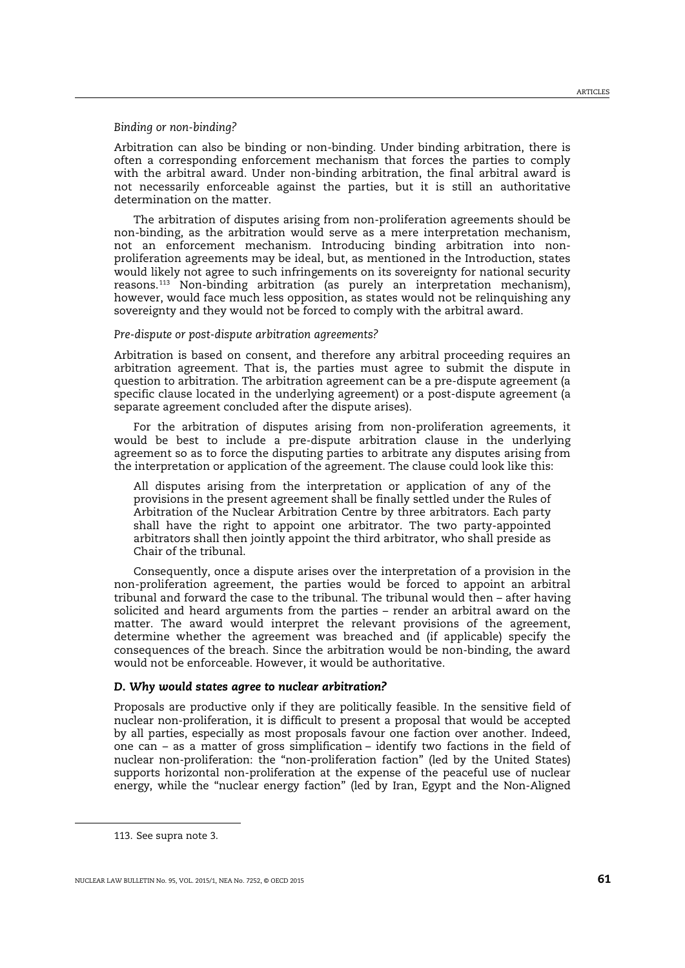#### *Binding or non-binding?*

Arbitration can also be binding or non-binding. Under binding arbitration, there is often a corresponding enforcement mechanism that forces the parties to comply with the arbitral award. Under non-binding arbitration, the final arbitral award is not necessarily enforceable against the parties, but it is still an authoritative determination on the matter.

The arbitration of disputes arising from non-proliferation agreements should be non-binding, as the arbitration would serve as a mere interpretation mechanism, not an enforcement mechanism. Introducing binding arbitration into nonproliferation agreements may be ideal, but, as mentioned in the Introduction, states would likely not agree to such infringements on its sovereignty for national security reasons.[113](#page-20-0) Non-binding arbitration (as purely an interpretation mechanism), however, would face much less opposition, as states would not be relinquishing any sovereignty and they would not be forced to comply with the arbitral award.

#### *Pre-dispute or post-dispute arbitration agreements?*

Arbitration is based on consent, and therefore any arbitral proceeding requires an arbitration agreement. That is, the parties must agree to submit the dispute in question to arbitration. The arbitration agreement can be a pre-dispute agreement (a specific clause located in the underlying agreement) or a post-dispute agreement (a separate agreement concluded after the dispute arises).

For the arbitration of disputes arising from non-proliferation agreements, it would be best to include a pre-dispute arbitration clause in the underlying agreement so as to force the disputing parties to arbitrate any disputes arising from the interpretation or application of the agreement. The clause could look like this:

All disputes arising from the interpretation or application of any of the provisions in the present agreement shall be finally settled under the Rules of Arbitration of the Nuclear Arbitration Centre by three arbitrators. Each party shall have the right to appoint one arbitrator. The two party-appointed arbitrators shall then jointly appoint the third arbitrator, who shall preside as Chair of the tribunal.

Consequently, once a dispute arises over the interpretation of a provision in the non-proliferation agreement, the parties would be forced to appoint an arbitral tribunal and forward the case to the tribunal. The tribunal would then – after having solicited and heard arguments from the parties – render an arbitral award on the matter. The award would interpret the relevant provisions of the agreement, determine whether the agreement was breached and (if applicable) specify the consequences of the breach. Since the arbitration would be non-binding, the award would not be enforceable. However, it would be authoritative.

#### *D. Why would states agree to nuclear arbitration?*

Proposals are productive only if they are politically feasible. In the sensitive field of nuclear non-proliferation, it is difficult to present a proposal that would be accepted by all parties, especially as most proposals favour one faction over another. Indeed, one can – as a matter of gross simplification – identify two factions in the field of nuclear non-proliferation: the "non-proliferation faction" (led by the United States) supports horizontal non-proliferation at the expense of the peaceful use of nuclear energy, while the "nuclear energy faction" (led by Iran, Egypt and the Non-Aligned

<span id="page-20-0"></span><sup>113.</sup> See supra not[e 3.](#page-0-5)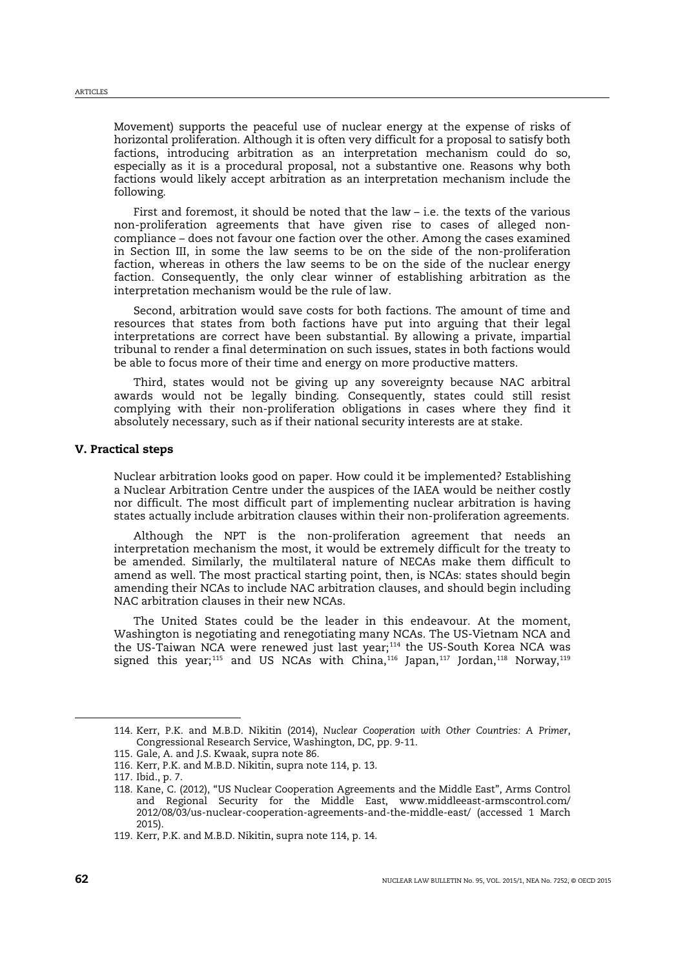Movement) supports the peaceful use of nuclear energy at the expense of risks of horizontal proliferation. Although it is often very difficult for a proposal to satisfy both factions, introducing arbitration as an interpretation mechanism could do so, especially as it is a procedural proposal, not a substantive one. Reasons why both factions would likely accept arbitration as an interpretation mechanism include the following.

First and foremost, it should be noted that the law – i.e. the texts of the various non-proliferation agreements that have given rise to cases of alleged noncompliance – does not favour one faction over the other. Among the cases examined in Section III, in some the law seems to be on the side of the non-proliferation faction, whereas in others the law seems to be on the side of the nuclear energy faction. Consequently, the only clear winner of establishing arbitration as the interpretation mechanism would be the rule of law.

Second, arbitration would save costs for both factions. The amount of time and resources that states from both factions have put into arguing that their legal interpretations are correct have been substantial. By allowing a private, impartial tribunal to render a final determination on such issues, states in both factions would be able to focus more of their time and energy on more productive matters.

Third, states would not be giving up any sovereignty because NAC arbitral awards would not be legally binding. Consequently, states could still resist complying with their non-proliferation obligations in cases where they find it absolutely necessary, such as if their national security interests are at stake.

#### V. Practical steps

Nuclear arbitration looks good on paper. How could it be implemented? Establishing a Nuclear Arbitration Centre under the auspices of the IAEA would be neither costly nor difficult. The most difficult part of implementing nuclear arbitration is having states actually include arbitration clauses within their non-proliferation agreements.

Although the NPT is the non-proliferation agreement that needs an interpretation mechanism the most, it would be extremely difficult for the treaty to be amended. Similarly, the multilateral nature of NECAs make them difficult to amend as well. The most practical starting point, then, is NCAs: states should begin amending their NCAs to include NAC arbitration clauses, and should begin including NAC arbitration clauses in their new NCAs.

<span id="page-21-0"></span>The United States could be the leader in this endeavour. At the moment, Washington is negotiating and renegotiating many NCAs. The US-Vietnam NCA and the US-Taiwan NCA were renewed just last year; [114](#page-21-1) the US-South Korea NCA was signed this year; $^\mathrm{115}$  $^\mathrm{115}$  $^\mathrm{115}$  and US NCAs with China, $^\mathrm{116}$  $^\mathrm{116}$  $^\mathrm{116}$  Japan, $^\mathrm{117}$  $^\mathrm{117}$  $^\mathrm{117}$  Jordan, $^\mathrm{118}$  $^\mathrm{118}$  $^\mathrm{118}$  Norway, $^\mathrm{115}$ 

<span id="page-21-1"></span><sup>114.</sup> Kerr, P.K. and M.B.D. Nikitin (2014), *Nuclear Cooperation with Other Countries: A Primer*, Congressional Research Service, Washington, DC, pp. 9-11.

<span id="page-21-2"></span><sup>115.</sup> Gale, A. and J.S. Kwaak, supra note [86.](#page-13-8)

<span id="page-21-3"></span><sup>116.</sup> Kerr, P.K. and M.B.D. Nikitin, supra note [114,](#page-21-0) p. 13.

<span id="page-21-4"></span><sup>117.</sup> Ibid., p. 7.

<span id="page-21-5"></span><sup>118.</sup> Kane, C. (2012), "US Nuclear Cooperation Agreements and the Middle East", Arms Control and Regional Security for the Middle East, www.middleeast-armscontrol.com/ 2012/08/03/us-nuclear-cooperation-agreements-and-the-middle-east/ (accessed 1 March 2015).

<span id="page-21-6"></span><sup>119.</sup> Kerr, P.K. and M.B.D. Nikitin, supra note [114,](#page-21-0) p. 14.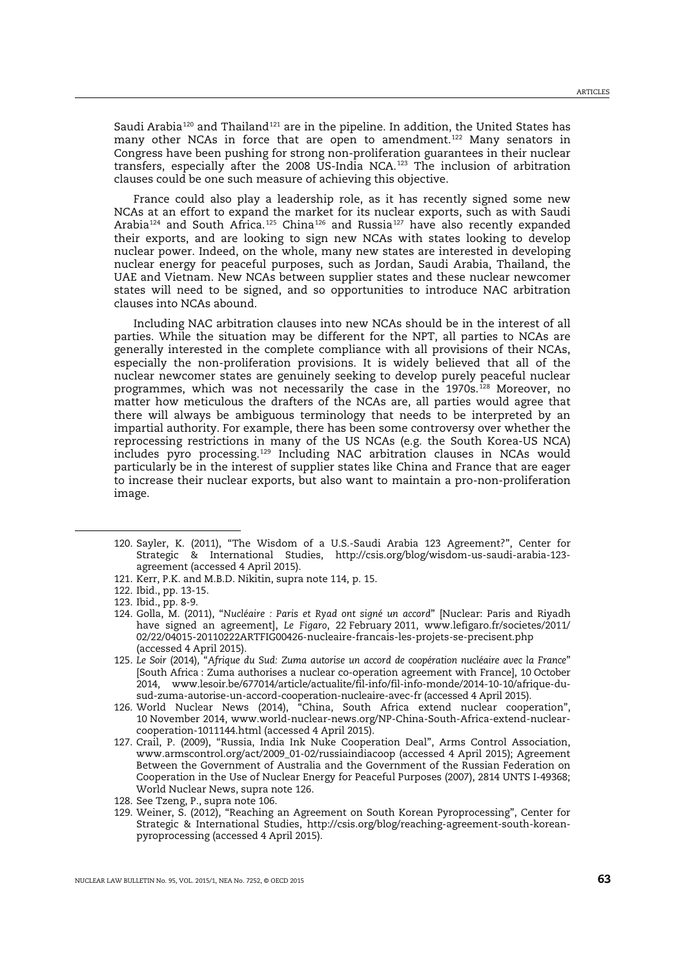Saudi Arabia<sup>[120](#page-22-1)</sup> and Thailand<sup>[121](#page-22-2)</sup> are in the pipeline. In addition, the United States has many other NCAs in force that are open to amendment.<sup>[122](#page-22-3)</sup> Many senators in Congress have been pushing for strong non-proliferation guarantees in their nuclear transfers, especially after the 2008 US-India NCA.<sup>[123](#page-22-4)</sup> The inclusion of arbitration clauses could be one such measure of achieving this objective.

<span id="page-22-0"></span>France could also play a leadership role, as it has recently signed some new NCAs at an effort to expand the market for its nuclear exports, such as with Saudi Arabia<sup>[124](#page-22-5)</sup> and South Africa.<sup>[125](#page-22-6)</sup> China<sup>[126](#page-22-7)</sup> and Russia<sup>[127](#page-22-8)</sup> have also recently expanded their exports, and are looking to sign new NCAs with states looking to develop nuclear power. Indeed, on the whole, many new states are interested in developing nuclear energy for peaceful purposes, such as Jordan, Saudi Arabia, Thailand, the UAE and Vietnam. New NCAs between supplier states and these nuclear newcomer states will need to be signed, and so opportunities to introduce NAC arbitration clauses into NCAs abound.

Including NAC arbitration clauses into new NCAs should be in the interest of all parties. While the situation may be different for the NPT, all parties to NCAs are generally interested in the complete compliance with all provisions of their NCAs, especially the non-proliferation provisions. It is widely believed that all of the nuclear newcomer states are genuinely seeking to develop purely peaceful nuclear programmes, which was not necessarily the case in the 1970s.<sup>[128](#page-22-9)</sup> Moreover, no matter how meticulous the drafters of the NCAs are, all parties would agree that there will always be ambiguous terminology that needs to be interpreted by an impartial authority. For example, there has been some controversy over whether the reprocessing restrictions in many of the US NCAs (e.g. the South Korea-US NCA) includes pyro processing.<sup>[129](#page-22-10)</sup> Including NAC arbitration clauses in NCAs would particularly be in the interest of supplier states like China and France that are eager to increase their nuclear exports, but also want to maintain a pro-non-proliferation image.

- <span id="page-22-1"></span>120. Sayler, K. (2011), "The Wisdom of a U.S.-Saudi Arabia 123 Agreement?", Center for Strategic & International Studies, http://csis.org/blog/wisdom-us-saudi-arabia-123 agreement (accessed 4 April 2015).
- <span id="page-22-2"></span>121. Kerr, P.K. and M.B.D. Nikitin, supra note [114,](#page-21-0) p. 15.

<span id="page-22-3"></span><sup>122.</sup> Ibid., pp. 13-15.

<span id="page-22-4"></span><sup>123.</sup> Ibid., pp. 8-9.

<span id="page-22-5"></span><sup>124.</sup> Golla, M. (2011), "*Nucléaire : Paris et Ryad ont signé un accord*" [Nuclear: Paris and Riyadh have signed an agreement], *Le Figaro*, 22 February 2011, www.lefigaro.fr/societes/2011/ 02/22/04015-20110222ARTFIG00426-nucleaire-francais-les-projets-se-precisent.php (accessed 4 April 2015).

<span id="page-22-6"></span><sup>125.</sup> *Le Soir* (2014), "*Afrique du Sud: Zuma autorise un accord de coopération nucléaire avec la France*" [South Africa : Zuma authorises a nuclear co-operation agreement with France], 10 October 2014, www.lesoir.be/677014/article/actualite/fil-info/fil-info-monde/2014-10-10/afrique-dusud-zuma-autorise-un-accord-cooperation-nucleaire-avec-fr (accessed 4 April 2015).

<span id="page-22-7"></span><sup>126.</sup> World Nuclear News (2014), "China, South Africa extend nuclear cooperation", 10 November 2014, www.world-nuclear-news.org/NP-China-South-Africa-extend-nuclearcooperation-1011144.html (accessed 4 April 2015).

<span id="page-22-8"></span><sup>127.</sup> Crail, P. (2009), "Russia, India Ink Nuke Cooperation Deal", Arms Control Association, www.armscontrol.org/act/2009\_01-02/russiaindiacoop (accessed 4 April 2015); Agreement Between the Government of Australia and the Government of the Russian Federation on Cooperation in the Use of Nuclear Energy for Peaceful Purposes (2007), 2814 UNTS I-49368; World Nuclear News, supra not[e 126.](#page-22-0)

<span id="page-22-9"></span><sup>128.</sup> See Tzeng, P., supra not[e 106.](#page-15-8)

<span id="page-22-10"></span><sup>129.</sup> Weiner, S. (2012), "Reaching an Agreement on South Korean Pyroprocessing", Center for Strategic & International Studies, http://csis.org/blog/reaching-agreement-south-koreanpyroprocessing (accessed 4 April 2015).